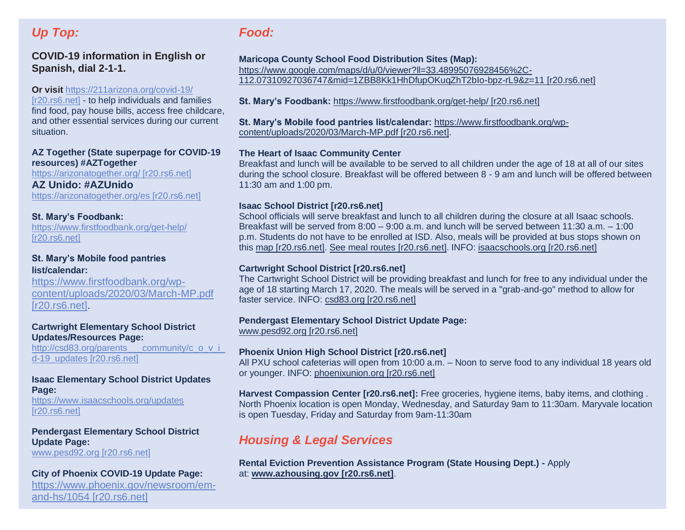# *Up Top:*

## **COVID-19 information in English or Spanish, dial 2-1-1.**

#### **Or visit** [https://211arizona.org/covid-19/](https://urldefense.com/v3/__http:/r20.rs6.net/tn.jsp?f=001c184bZjLv8sXdDF5ckNqPGaqLLVM4jLfUk47Zv4swugGhanB5_6SEKS4pEF6c9dPweUzv-TdvLQ2N7vZvilyuzqtZqM6k6Y0vQgCGJl9TFSFGZqe0medbX97tFJ8ovxqRv01jQSr6zbcFuq4f2_weOxhiK3jxol2&c=VjyxH310zv2Mfe0U-33kNLIFOO8FGga3NKLFWcVMxhsGkBosXKaECw==&ch=U0yhzDUPR0yNKAF0oIQOYNnMFlVUSvhRWRpuINw1DbZ9U8p05q5Aug==__;!!LkjWUF49MRd51_ry!PYFkHBftJHta9Vv9RDvvPjX2mBnHVUOrYlrgvdUeW-6H7mhl4HxuoNUw3g3TAZ8oW3Dz9Ko$)

[\[r20.rs6.net\]](https://urldefense.com/v3/__http:/r20.rs6.net/tn.jsp?f=001c184bZjLv8sXdDF5ckNqPGaqLLVM4jLfUk47Zv4swugGhanB5_6SEKS4pEF6c9dPweUzv-TdvLQ2N7vZvilyuzqtZqM6k6Y0vQgCGJl9TFSFGZqe0medbX97tFJ8ovxqRv01jQSr6zbcFuq4f2_weOxhiK3jxol2&c=VjyxH310zv2Mfe0U-33kNLIFOO8FGga3NKLFWcVMxhsGkBosXKaECw==&ch=U0yhzDUPR0yNKAF0oIQOYNnMFlVUSvhRWRpuINw1DbZ9U8p05q5Aug==__;!!LkjWUF49MRd51_ry!PYFkHBftJHta9Vv9RDvvPjX2mBnHVUOrYlrgvdUeW-6H7mhl4HxuoNUw3g3TAZ8oW3Dz9Ko$) - to help individuals and families find food, pay house bills, access free childcare, and other essential services during our current situation.

#### **AZ Together (State superpage for COVID-19 resources) #AZTogether**

[https://arizonatogether.org/ \[r20.rs6.net\]](https://urldefense.com/v3/__http:/r20.rs6.net/tn.jsp?f=001c184bZjLv8sXdDF5ckNqPGaqLLVM4jLfUk47Zv4swugGhanB5_6SEKS4pEF6c9dPFXj3VQetCWuigif9XB9HjMOaMqB4OnpiutzSROWP96pM_pXhJgJWMhD_FomSFRUdU3GcT8nXeUztFyL0-aLXHg==&c=VjyxH310zv2Mfe0U-33kNLIFOO8FGga3NKLFWcVMxhsGkBosXKaECw==&ch=U0yhzDUPR0yNKAF0oIQOYNnMFlVUSvhRWRpuINw1DbZ9U8p05q5Aug==__;!!LkjWUF49MRd51_ry!PYFkHBftJHta9Vv9RDvvPjX2mBnHVUOrYlrgvdUeW-6H7mhl4HxuoNUw3g3TAZ8o-PxEL4M$)

## **AZ Unido: #AZUnido**

[https://arizonatogether.org/es \[r20.rs6.net\]](https://urldefense.com/v3/__http:/r20.rs6.net/tn.jsp?f=001c184bZjLv8sXdDF5ckNqPGaqLLVM4jLfUk47Zv4swugGhanB5_6SEKS4pEF6c9dPwvO9kDhsIzO4lxb_hb2Xl7obYezQpi4A1xMNeHN7f1dzdMoElYAujQzMSLvAvxiLgsbsmo18SMCMN2efIRypeQ==&c=VjyxH310zv2Mfe0U-33kNLIFOO8FGga3NKLFWcVMxhsGkBosXKaECw==&ch=U0yhzDUPR0yNKAF0oIQOYNnMFlVUSvhRWRpuINw1DbZ9U8p05q5Aug==__;!!LkjWUF49MRd51_ry!PYFkHBftJHta9Vv9RDvvPjX2mBnHVUOrYlrgvdUeW-6H7mhl4HxuoNUw3g3TAZ8o-fEOcRo$)

#### **St. Mary's Foodbank:**

[https://www.firstfoodbank.org/get-help/](https://urldefense.com/v3/__http:/r20.rs6.net/tn.jsp?f=001c184bZjLv8sXdDF5ckNqPGaqLLVM4jLfUk47Zv4swugGhanB5_6SEKS4pEF6c9dP5cvDtEmR2hy_ujFNO0DAYsWBSmYFRq6Y7esqMGGKb6CN8tOMNB4abFeEKVmErcpCPeIm3l7VQxrvFOLALON2FksPsPFF3uoE2WAYnI2bw74=&c=VjyxH310zv2Mfe0U-33kNLIFOO8FGga3NKLFWcVMxhsGkBosXKaECw==&ch=U0yhzDUPR0yNKAF0oIQOYNnMFlVUSvhRWRpuINw1DbZ9U8p05q5Aug==__;!!LkjWUF49MRd51_ry!PYFkHBftJHta9Vv9RDvvPjX2mBnHVUOrYlrgvdUeW-6H7mhl4HxuoNUw3g3TAZ8ohj0PuSc$)  [\[r20.rs6.net\]](https://urldefense.com/v3/__http:/r20.rs6.net/tn.jsp?f=001c184bZjLv8sXdDF5ckNqPGaqLLVM4jLfUk47Zv4swugGhanB5_6SEKS4pEF6c9dP5cvDtEmR2hy_ujFNO0DAYsWBSmYFRq6Y7esqMGGKb6CN8tOMNB4abFeEKVmErcpCPeIm3l7VQxrvFOLALON2FksPsPFF3uoE2WAYnI2bw74=&c=VjyxH310zv2Mfe0U-33kNLIFOO8FGga3NKLFWcVMxhsGkBosXKaECw==&ch=U0yhzDUPR0yNKAF0oIQOYNnMFlVUSvhRWRpuINw1DbZ9U8p05q5Aug==__;!!LkjWUF49MRd51_ry!PYFkHBftJHta9Vv9RDvvPjX2mBnHVUOrYlrgvdUeW-6H7mhl4HxuoNUw3g3TAZ8ohj0PuSc$)

### **St. Mary's Mobile food pantries list/calendar:**

[https://www.firstfoodbank.org/wp](https://urldefense.com/v3/__http:/r20.rs6.net/tn.jsp?f=001c184bZjLv8sXdDF5ckNqPGaqLLVM4jLfUk47Zv4swugGhanB5_6SEKS4pEF6c9dPPMX1wtWY7IWeWpXaAgpKE1X7ktbwPVZXsbg5RF8RPbhpKFK6HB3d5C4niL0E4DtRw386WOFrAMn-GGH6KZwRsA_X1uIqX2O1wxCRVYEad0YvEdRraU4vrUcOKm9lDqCsi_rikr50Qp1OIN6qd__WVA==&c=VjyxH310zv2Mfe0U-33kNLIFOO8FGga3NKLFWcVMxhsGkBosXKaECw==&ch=U0yhzDUPR0yNKAF0oIQOYNnMFlVUSvhRWRpuINw1DbZ9U8p05q5Aug==__;!!LkjWUF49MRd51_ry!PYFkHBftJHta9Vv9RDvvPjX2mBnHVUOrYlrgvdUeW-6H7mhl4HxuoNUw3g3TAZ8oycKp9GA$)[content/uploads/2020/03/March-MP.pdf](https://urldefense.com/v3/__http:/r20.rs6.net/tn.jsp?f=001c184bZjLv8sXdDF5ckNqPGaqLLVM4jLfUk47Zv4swugGhanB5_6SEKS4pEF6c9dPPMX1wtWY7IWeWpXaAgpKE1X7ktbwPVZXsbg5RF8RPbhpKFK6HB3d5C4niL0E4DtRw386WOFrAMn-GGH6KZwRsA_X1uIqX2O1wxCRVYEad0YvEdRraU4vrUcOKm9lDqCsi_rikr50Qp1OIN6qd__WVA==&c=VjyxH310zv2Mfe0U-33kNLIFOO8FGga3NKLFWcVMxhsGkBosXKaECw==&ch=U0yhzDUPR0yNKAF0oIQOYNnMFlVUSvhRWRpuINw1DbZ9U8p05q5Aug==__;!!LkjWUF49MRd51_ry!PYFkHBftJHta9Vv9RDvvPjX2mBnHVUOrYlrgvdUeW-6H7mhl4HxuoNUw3g3TAZ8oycKp9GA$)  [\[r20.rs6.net\].](https://urldefense.com/v3/__http:/r20.rs6.net/tn.jsp?f=001c184bZjLv8sXdDF5ckNqPGaqLLVM4jLfUk47Zv4swugGhanB5_6SEKS4pEF6c9dPPMX1wtWY7IWeWpXaAgpKE1X7ktbwPVZXsbg5RF8RPbhpKFK6HB3d5C4niL0E4DtRw386WOFrAMn-GGH6KZwRsA_X1uIqX2O1wxCRVYEad0YvEdRraU4vrUcOKm9lDqCsi_rikr50Qp1OIN6qd__WVA==&c=VjyxH310zv2Mfe0U-33kNLIFOO8FGga3NKLFWcVMxhsGkBosXKaECw==&ch=U0yhzDUPR0yNKAF0oIQOYNnMFlVUSvhRWRpuINw1DbZ9U8p05q5Aug==__;!!LkjWUF49MRd51_ry!PYFkHBftJHta9Vv9RDvvPjX2mBnHVUOrYlrgvdUeW-6H7mhl4HxuoNUw3g3TAZ8oycKp9GA$)

#### **Cartwright Elementary School District Updates/Resources Page:**

http://csd83.org/parents\_\_\_community/c\_o\_v\_i [d-19\\_updates \[r20.rs6.net\]](https://urldefense.com/v3/__http:/r20.rs6.net/tn.jsp?f=001c184bZjLv8sXdDF5ckNqPGaqLLVM4jLfUk47Zv4swugGhanB5_6SEKS4pEF6c9dP-XXNzhns_g_z3d60o27RyWb8IPhcp5C-b1-AUvNX4RSfiPl1aVyFSyWLIDEPofcc9HjHm8Dc5ftJux-8UOpqRxNf45KQJ2TCyIa76P9vOWsxF3ndf-BJoumvTZnzvJc-&c=VjyxH310zv2Mfe0U-33kNLIFOO8FGga3NKLFWcVMxhsGkBosXKaECw==&ch=U0yhzDUPR0yNKAF0oIQOYNnMFlVUSvhRWRpuINw1DbZ9U8p05q5Aug==__;!!LkjWUF49MRd51_ry!PYFkHBftJHta9Vv9RDvvPjX2mBnHVUOrYlrgvdUeW-6H7mhl4HxuoNUw3g3TAZ8o1WUwrmQ$)

#### **Isaac Elementary School District Updates Page:**

[https://www.isaacschools.org/updates](https://urldefense.com/v3/__http:/r20.rs6.net/tn.jsp?f=001c184bZjLv8sXdDF5ckNqPGaqLLVM4jLfUk47Zv4swugGhanB5_6SEKS4pEF6c9dPjQRPf7Ycf1A8nEokLwc7sT1k-D1GynF3LL190rPfHGELupQa9uxaVymiok-wzy5Rn0tBVe7ALV0QH5Q5Iordx5NbRgmU1byX&c=VjyxH310zv2Mfe0U-33kNLIFOO8FGga3NKLFWcVMxhsGkBosXKaECw==&ch=U0yhzDUPR0yNKAF0oIQOYNnMFlVUSvhRWRpuINw1DbZ9U8p05q5Aug==__;!!LkjWUF49MRd51_ry!PYFkHBftJHta9Vv9RDvvPjX2mBnHVUOrYlrgvdUeW-6H7mhl4HxuoNUw3g3TAZ8oc6ucZtk$)  [\[r20.rs6.net\]](https://urldefense.com/v3/__http:/r20.rs6.net/tn.jsp?f=001c184bZjLv8sXdDF5ckNqPGaqLLVM4jLfUk47Zv4swugGhanB5_6SEKS4pEF6c9dPjQRPf7Ycf1A8nEokLwc7sT1k-D1GynF3LL190rPfHGELupQa9uxaVymiok-wzy5Rn0tBVe7ALV0QH5Q5Iordx5NbRgmU1byX&c=VjyxH310zv2Mfe0U-33kNLIFOO8FGga3NKLFWcVMxhsGkBosXKaECw==&ch=U0yhzDUPR0yNKAF0oIQOYNnMFlVUSvhRWRpuINw1DbZ9U8p05q5Aug==__;!!LkjWUF49MRd51_ry!PYFkHBftJHta9Vv9RDvvPjX2mBnHVUOrYlrgvdUeW-6H7mhl4HxuoNUw3g3TAZ8oc6ucZtk$)

## **Pendergast Elementary School District Update Page:**

[www.pesd92.org \[r20.rs6.net\]](https://urldefense.com/v3/__http:/r20.rs6.net/tn.jsp?f=001c184bZjLv8sXdDF5ckNqPGaqLLVM4jLfUk47Zv4swugGhanB5_6SEKS4pEF6c9dPHnIJpZY9btWiz1BJU0FdaT5lCdCeChxBVacOywZEvf1n-2SMFKm7YbTFLFQvm_CCiHBK78hehYw=&c=VjyxH310zv2Mfe0U-33kNLIFOO8FGga3NKLFWcVMxhsGkBosXKaECw==&ch=U0yhzDUPR0yNKAF0oIQOYNnMFlVUSvhRWRpuINw1DbZ9U8p05q5Aug==__;!!LkjWUF49MRd51_ry!PYFkHBftJHta9Vv9RDvvPjX2mBnHVUOrYlrgvdUeW-6H7mhl4HxuoNUw3g3TAZ8o8Fk325A$)

## **City of Phoenix COVID-19 Update Page:**

[https://www.phoenix.gov/newsroom/em](https://urldefense.com/v3/__http:/r20.rs6.net/tn.jsp?f=001c184bZjLv8sXdDF5ckNqPGaqLLVM4jLfUk47Zv4swugGhanB5_6SEKS4pEF6c9dPMlvTpQLyxvOWIZn3MDTGBjdN3rX-rdKwtCFREc4kS2SXbu0PbrLHyhHkYXTy_Glns6Kc2EZGGdgF5WnU3wIII_rxYPQzzUMoRa2uNNe4sFDyYG4FsD_n5A==&c=VjyxH310zv2Mfe0U-33kNLIFOO8FGga3NKLFWcVMxhsGkBosXKaECw==&ch=U0yhzDUPR0yNKAF0oIQOYNnMFlVUSvhRWRpuINw1DbZ9U8p05q5Aug==__;!!LkjWUF49MRd51_ry!PYFkHBftJHta9Vv9RDvvPjX2mBnHVUOrYlrgvdUeW-6H7mhl4HxuoNUw3g3TAZ8ohG0LEkI$)[and-hs/1054 \[r20.rs6.net\]](https://urldefense.com/v3/__http:/r20.rs6.net/tn.jsp?f=001c184bZjLv8sXdDF5ckNqPGaqLLVM4jLfUk47Zv4swugGhanB5_6SEKS4pEF6c9dPMlvTpQLyxvOWIZn3MDTGBjdN3rX-rdKwtCFREc4kS2SXbu0PbrLHyhHkYXTy_Glns6Kc2EZGGdgF5WnU3wIII_rxYPQzzUMoRa2uNNe4sFDyYG4FsD_n5A==&c=VjyxH310zv2Mfe0U-33kNLIFOO8FGga3NKLFWcVMxhsGkBosXKaECw==&ch=U0yhzDUPR0yNKAF0oIQOYNnMFlVUSvhRWRpuINw1DbZ9U8p05q5Aug==__;!!LkjWUF49MRd51_ry!PYFkHBftJHta9Vv9RDvvPjX2mBnHVUOrYlrgvdUeW-6H7mhl4HxuoNUw3g3TAZ8ohG0LEkI$)

# *Food:*

## **Maricopa County School Food Distribution Sites (Map):**

[https://www.google.com/maps/d/u/0/viewer?ll=33.48995076928456%2C-](https://urldefense.com/v3/__http:/r20.rs6.net/tn.jsp?f=001c184bZjLv8sXdDF5ckNqPGaqLLVM4jLfUk47Zv4swugGhanB5_6SEKS4pEF6c9dPDxfevKWyUyriUgBnWz1nAHs6qrAiLXlFYf3WUlga2Smooj5jJRciI9QQ6Hom73pwTwi-bWq0IRkKa7PVoTWbrPYsgmXUqBnrJcseT7C2CiPBHYcPgNxg8hOz6GgkvwrqVo261xMJQ5EL6agzMcF8rbU3FwT1qZ_iVxx7S-Eom0QofAkIahQU0w_fqhPaUG-__Emgvj5WdM4VNbFPCWJiVXy-N3q029JakZVa3ue8wBwcTp3WU8mvzA==&c=VjyxH310zv2Mfe0U-33kNLIFOO8FGga3NKLFWcVMxhsGkBosXKaECw==&ch=U0yhzDUPR0yNKAF0oIQOYNnMFlVUSvhRWRpuINw1DbZ9U8p05q5Aug==__;!!LkjWUF49MRd51_ry!PYFkHBftJHta9Vv9RDvvPjX2mBnHVUOrYlrgvdUeW-6H7mhl4HxuoNUw3g3TAZ8o_Bn8RoA$)[112.07310927036747&mid=1ZBB8Kk1HhDfupOKuqZhT2bIo-bpz-rL9&z=11 \[r20.rs6.net\]](https://urldefense.com/v3/__http:/r20.rs6.net/tn.jsp?f=001c184bZjLv8sXdDF5ckNqPGaqLLVM4jLfUk47Zv4swugGhanB5_6SEKS4pEF6c9dPDxfevKWyUyriUgBnWz1nAHs6qrAiLXlFYf3WUlga2Smooj5jJRciI9QQ6Hom73pwTwi-bWq0IRkKa7PVoTWbrPYsgmXUqBnrJcseT7C2CiPBHYcPgNxg8hOz6GgkvwrqVo261xMJQ5EL6agzMcF8rbU3FwT1qZ_iVxx7S-Eom0QofAkIahQU0w_fqhPaUG-__Emgvj5WdM4VNbFPCWJiVXy-N3q029JakZVa3ue8wBwcTp3WU8mvzA==&c=VjyxH310zv2Mfe0U-33kNLIFOO8FGga3NKLFWcVMxhsGkBosXKaECw==&ch=U0yhzDUPR0yNKAF0oIQOYNnMFlVUSvhRWRpuINw1DbZ9U8p05q5Aug==__;!!LkjWUF49MRd51_ry!PYFkHBftJHta9Vv9RDvvPjX2mBnHVUOrYlrgvdUeW-6H7mhl4HxuoNUw3g3TAZ8o_Bn8RoA$)

**St. Mary's Foodbank:** [https://www.firstfoodbank.org/get-help/ \[r20.rs6.net\]](https://urldefense.com/v3/__http:/r20.rs6.net/tn.jsp?f=001c184bZjLv8sXdDF5ckNqPGaqLLVM4jLfUk47Zv4swugGhanB5_6SEKS4pEF6c9dP5cvDtEmR2hy_ujFNO0DAYsWBSmYFRq6Y7esqMGGKb6CN8tOMNB4abFeEKVmErcpCPeIm3l7VQxrvFOLALON2FksPsPFF3uoE2WAYnI2bw74=&c=VjyxH310zv2Mfe0U-33kNLIFOO8FGga3NKLFWcVMxhsGkBosXKaECw==&ch=U0yhzDUPR0yNKAF0oIQOYNnMFlVUSvhRWRpuINw1DbZ9U8p05q5Aug==__;!!LkjWUF49MRd51_ry!PYFkHBftJHta9Vv9RDvvPjX2mBnHVUOrYlrgvdUeW-6H7mhl4HxuoNUw3g3TAZ8ohj0PuSc$)

**St. Mary's Mobile food pantries list/calendar:** [https://www.firstfoodbank.org/wp](https://urldefense.com/v3/__http:/r20.rs6.net/tn.jsp?f=001c184bZjLv8sXdDF5ckNqPGaqLLVM4jLfUk47Zv4swugGhanB5_6SEKS4pEF6c9dPPMX1wtWY7IWeWpXaAgpKE1X7ktbwPVZXsbg5RF8RPbhpKFK6HB3d5C4niL0E4DtRw386WOFrAMn-GGH6KZwRsA_X1uIqX2O1wxCRVYEad0YvEdRraU4vrUcOKm9lDqCsi_rikr50Qp1OIN6qd__WVA==&c=VjyxH310zv2Mfe0U-33kNLIFOO8FGga3NKLFWcVMxhsGkBosXKaECw==&ch=U0yhzDUPR0yNKAF0oIQOYNnMFlVUSvhRWRpuINw1DbZ9U8p05q5Aug==__;!!LkjWUF49MRd51_ry!PYFkHBftJHta9Vv9RDvvPjX2mBnHVUOrYlrgvdUeW-6H7mhl4HxuoNUw3g3TAZ8oycKp9GA$)[content/uploads/2020/03/March-MP.pdf \[r20.rs6.net\].](https://urldefense.com/v3/__http:/r20.rs6.net/tn.jsp?f=001c184bZjLv8sXdDF5ckNqPGaqLLVM4jLfUk47Zv4swugGhanB5_6SEKS4pEF6c9dPPMX1wtWY7IWeWpXaAgpKE1X7ktbwPVZXsbg5RF8RPbhpKFK6HB3d5C4niL0E4DtRw386WOFrAMn-GGH6KZwRsA_X1uIqX2O1wxCRVYEad0YvEdRraU4vrUcOKm9lDqCsi_rikr50Qp1OIN6qd__WVA==&c=VjyxH310zv2Mfe0U-33kNLIFOO8FGga3NKLFWcVMxhsGkBosXKaECw==&ch=U0yhzDUPR0yNKAF0oIQOYNnMFlVUSvhRWRpuINw1DbZ9U8p05q5Aug==__;!!LkjWUF49MRd51_ry!PYFkHBftJHta9Vv9RDvvPjX2mBnHVUOrYlrgvdUeW-6H7mhl4HxuoNUw3g3TAZ8oycKp9GA$)

## **The Heart of Isaac Community Center**

Breakfast and lunch will be available to be served to all children under the age of 18 at all of our sites during the school closure. Breakfast will be offered between 8 - 9 am and lunch will be offered between 11:30 am and 1:00 pm.

#### **[Isaac School District \[r20.rs6.net\]](https://urldefense.com/v3/__http:/r20.rs6.net/tn.jsp?f=001c184bZjLv8sXdDF5ckNqPGaqLLVM4jLfUk47Zv4swugGhanB5_6SEKS4pEF6c9dPNm_Whm_COD4o39mn4QH99grpCR5BkEdaCh4Md1igfRRBBy2P630t1mmkNAytpxCzgwXGa3CV6AEEvbJeVAFNNg==&c=VjyxH310zv2Mfe0U-33kNLIFOO8FGga3NKLFWcVMxhsGkBosXKaECw==&ch=U0yhzDUPR0yNKAF0oIQOYNnMFlVUSvhRWRpuINw1DbZ9U8p05q5Aug==__;!!LkjWUF49MRd51_ry!PYFkHBftJHta9Vv9RDvvPjX2mBnHVUOrYlrgvdUeW-6H7mhl4HxuoNUw3g3TAZ8otpYZkyg$)**

School officials will serve breakfast and lunch to all children during the closure at all Isaac schools. Breakfast will be served from 8:00 – 9:00 a.m. and lunch will be served between 11:30 a.m. – 1:00 p.m. Students do not have to be enrolled at ISD. Also, meals will be provided at bus stops shown on this [map \[r20.rs6.net\].](https://urldefense.com/v3/__http:/r20.rs6.net/tn.jsp?f=001c184bZjLv8sXdDF5ckNqPGaqLLVM4jLfUk47Zv4swugGhanB5_6SEKS4pEF6c9dP3WdaC7yNXtMtfK4b6Lz2AwUJjh6vtVumlNpi92fBig1SAbZ6R31Qz1AcUIA4-itaKsnGvPTGxeAj3TbTfsyAHdmVFcg7u5B5GNBnQ_zDezVAfLqc88-NdKYFlnSP5RK54dMVELQPlaOSsDOVPbTP9-Khc6pXbQmVl1__IQNFO5G6-K5Awx0dmQ==&c=VjyxH310zv2Mfe0U-33kNLIFOO8FGga3NKLFWcVMxhsGkBosXKaECw==&ch=U0yhzDUPR0yNKAF0oIQOYNnMFlVUSvhRWRpuINw1DbZ9U8p05q5Aug==__;!!LkjWUF49MRd51_ry!PYFkHBftJHta9Vv9RDvvPjX2mBnHVUOrYlrgvdUeW-6H7mhl4HxuoNUw3g3TAZ8o-HQnVd8$) [See meal routes \[r20.rs6.net\].](https://urldefense.com/v3/__http:/r20.rs6.net/tn.jsp?f=001c184bZjLv8sXdDF5ckNqPGaqLLVM4jLfUk47Zv4swugGhanB5_6SEKS4pEF6c9dPusyF6QUUiP_HdwNpkf_AqA5sVRQrnamkIoY2ZsZULbkTQeTsnd3zAbiTaZawe3RZB7AyacY45O1OVeoGr8CCfqlSshabakXd3gt00mrnnKbAd9nepK1GKaaMaUpPV8NAshmOBnaZv5rN0NAMSRHk81LLTX_7aMO6pPaGiEUTgkO16sB71qRzzJ4UJ4Q7b0wqSXWAAGmD0k6CRv2xzkfVjUxOfOxiqVkq&c=VjyxH310zv2Mfe0U-33kNLIFOO8FGga3NKLFWcVMxhsGkBosXKaECw==&ch=U0yhzDUPR0yNKAF0oIQOYNnMFlVUSvhRWRpuINw1DbZ9U8p05q5Aug==__;!!LkjWUF49MRd51_ry!PYFkHBftJHta9Vv9RDvvPjX2mBnHVUOrYlrgvdUeW-6H7mhl4HxuoNUw3g3TAZ8o9d5QHl4$) INFO: [isaacschools.org \[r20.rs6.net\]](https://urldefense.com/v3/__http:/r20.rs6.net/tn.jsp?f=001c184bZjLv8sXdDF5ckNqPGaqLLVM4jLfUk47Zv4swugGhanB5_6SEKS4pEF6c9dPxk1DgWluUatBQ7fHWV7XBE-fg7DqSw2jym6JmS8JeOdx2H08xDCvBmTx4MYVFfqC184064D4UzHEy8DCjaD6_0GXg3ndlhc8eEFgj-EVU0o=&c=VjyxH310zv2Mfe0U-33kNLIFOO8FGga3NKLFWcVMxhsGkBosXKaECw==&ch=U0yhzDUPR0yNKAF0oIQOYNnMFlVUSvhRWRpuINw1DbZ9U8p05q5Aug==__;!!LkjWUF49MRd51_ry!PYFkHBftJHta9Vv9RDvvPjX2mBnHVUOrYlrgvdUeW-6H7mhl4HxuoNUw3g3TAZ8oeC-DKWU$)

## **[Cartwright School District \[r20.rs6.net\]](https://urldefense.com/v3/__http:/r20.rs6.net/tn.jsp?f=001c184bZjLv8sXdDF5ckNqPGaqLLVM4jLfUk47Zv4swugGhanB5_6SEKS4pEF6c9dPjv2hGvEsxC4ohESqJxDA06B2KNVod8zOdiR7TS6GBYazaroHV8PiQs_9qZMaO0tYxS74SAk2YfI=&c=VjyxH310zv2Mfe0U-33kNLIFOO8FGga3NKLFWcVMxhsGkBosXKaECw==&ch=U0yhzDUPR0yNKAF0oIQOYNnMFlVUSvhRWRpuINw1DbZ9U8p05q5Aug==__;!!LkjWUF49MRd51_ry!PYFkHBftJHta9Vv9RDvvPjX2mBnHVUOrYlrgvdUeW-6H7mhl4HxuoNUw3g3TAZ8oKLWOgus$)**

The Cartwright School District will be providing breakfast and lunch for free to any individual under the age of 18 starting March 17, 2020. The meals will be served in a "grab-and-go" method to allow for faster service. INFO: [csd83.org \[r20.rs6.net\]](https://urldefense.com/v3/__http:/r20.rs6.net/tn.jsp?f=001c184bZjLv8sXdDF5ckNqPGaqLLVM4jLfUk47Zv4swugGhanB5_6SEKS4pEF6c9dP32ibAjVG2sFU1ZVV9E6rfWWrmDiT-jDaEWZ-EyPQa9wIMCS3OllibaQm12YB7VlOJJ-dDzH_NE6r2CdI2yzwa_TSYGQGY2cfGjGHc55NvpjCamBm_YwGkLvLD5Pvcdao6NMQUjLgjKWTwMbKxbm1B4WKt3agOK5JW2O1LeGQ6ek_s3mmL-WZ4DufMnHIkTbTnSZBMHsTTf0cBVCF8ZU01FS5AnZeXwimmEnkS0suWRGihHXcpNtJWV9hblYCJ-rx&c=VjyxH310zv2Mfe0U-33kNLIFOO8FGga3NKLFWcVMxhsGkBosXKaECw==&ch=U0yhzDUPR0yNKAF0oIQOYNnMFlVUSvhRWRpuINw1DbZ9U8p05q5Aug==__;!!LkjWUF49MRd51_ry!PYFkHBftJHta9Vv9RDvvPjX2mBnHVUOrYlrgvdUeW-6H7mhl4HxuoNUw3g3TAZ8o3DArlV4$)

#### **Pendergast Elementary School District Update Page:**

[www.pesd92.org \[r20.rs6.net\]](https://urldefense.com/v3/__http:/r20.rs6.net/tn.jsp?f=001c184bZjLv8sXdDF5ckNqPGaqLLVM4jLfUk47Zv4swugGhanB5_6SEKS4pEF6c9dPHnIJpZY9btWiz1BJU0FdaT5lCdCeChxBVacOywZEvf1n-2SMFKm7YbTFLFQvm_CCiHBK78hehYw=&c=VjyxH310zv2Mfe0U-33kNLIFOO8FGga3NKLFWcVMxhsGkBosXKaECw==&ch=U0yhzDUPR0yNKAF0oIQOYNnMFlVUSvhRWRpuINw1DbZ9U8p05q5Aug==__;!!LkjWUF49MRd51_ry!PYFkHBftJHta9Vv9RDvvPjX2mBnHVUOrYlrgvdUeW-6H7mhl4HxuoNUw3g3TAZ8o8Fk325A$)

#### **[Phoenix Union High School District \[r20.rs6.net\]](https://urldefense.com/v3/__http:/r20.rs6.net/tn.jsp?f=001c184bZjLv8sXdDF5ckNqPGaqLLVM4jLfUk47Zv4swugGhanB5_6SEKS4pEF6c9dP1-LTyvVr3sVSUKyMX54GyD3jV2ijjgu7NPpRh2ZcSmpZVHXj-BQ53WzHEDO4YQGEdiPcBIISmYTPKygagH8rQA==&c=VjyxH310zv2Mfe0U-33kNLIFOO8FGga3NKLFWcVMxhsGkBosXKaECw==&ch=U0yhzDUPR0yNKAF0oIQOYNnMFlVUSvhRWRpuINw1DbZ9U8p05q5Aug==__;!!LkjWUF49MRd51_ry!PYFkHBftJHta9Vv9RDvvPjX2mBnHVUOrYlrgvdUeW-6H7mhl4HxuoNUw3g3TAZ8oiGbjW90$)**

All PXU school cafeterias will open from 10:00 a.m. – Noon to serve food to any individual 18 years old or younger. INFO: [phoenixunion.org](https://urldefense.com/v3/__http:/r20.rs6.net/tn.jsp?f=001c184bZjLv8sXdDF5ckNqPGaqLLVM4jLfUk47Zv4swugGhanB5_6SEKS4pEF6c9dP2vH5zC_Y46fwDgnGak2YYvugWx9ckhV48u2hpsOc_oX4z--woKERwgJEhqHiTHG7kgT6nM-1K_lPRBEjATE6VuH8BcvrvGiAAspVOw_S0xg_yJDDGKr0pAtLbX3LFlUhwitl7UWyIkWriX60i3BqMoVTC8VxKQs6M98-6DmkZV1yuaOW-tNTgTWRAGQIBI_6&c=VjyxH310zv2Mfe0U-33kNLIFOO8FGga3NKLFWcVMxhsGkBosXKaECw==&ch=U0yhzDUPR0yNKAF0oIQOYNnMFlVUSvhRWRpuINw1DbZ9U8p05q5Aug==__;!!LkjWUF49MRd51_ry!PYFkHBftJHta9Vv9RDvvPjX2mBnHVUOrYlrgvdUeW-6H7mhl4HxuoNUw3g3TAZ8oqNZAFDY$) [r20.rs6.net]

**[Harvest Compassion Center \[r20.rs6.net\]:](https://urldefense.com/v3/__http:/r20.rs6.net/tn.jsp?f=001c184bZjLv8sXdDF5ckNqPGaqLLVM4jLfUk47Zv4swugGhanB5_6SEKS4pEF6c9dPIe15BKEVB4P6MM5uYmajkmVYn2J7z1Pfeouf8zmWCJ5VzDIGfalvXl0UcZcYFCwU_DgOq4CDOY87Mpd5D0RwGHdbj78dbV-M1WzJHO3lhxbIdYfkqxAiHF3wFPxjPBYUYcqfPcNxhvZssQJBzBlNCvr5w4wIc-Gv-ZFtFUmbvWsqieD56B1gMbuZa1waujLQdsuJOVaCTEQfTdwTEY5GE8EeozL7zkJgaR81b_9g4uSW4AmoIAG_scdSMA3rwhmBi5fg3OOmVKKR72rno6wnJvf_LVvL8NHT74ik91ipSq6jjFcuRSaSgCFK-KHlVLdhorTJ24UIkLPa1jWoegOebFJizAKV3VIL-PtBO8lGJqxyND_KHZgOC2W9exTcmhA1mbV3h-TF0awQkgnJ8buevXWOn6jU_yicJnjoW8lGULkc_SPIDyEBqHrhNCa006a4b4ted84r1h4=&c=VjyxH310zv2Mfe0U-33kNLIFOO8FGga3NKLFWcVMxhsGkBosXKaECw==&ch=U0yhzDUPR0yNKAF0oIQOYNnMFlVUSvhRWRpuINw1DbZ9U8p05q5Aug==__;!!LkjWUF49MRd51_ry!PYFkHBftJHta9Vv9RDvvPjX2mBnHVUOrYlrgvdUeW-6H7mhl4HxuoNUw3g3TAZ8o3MYuDaM$)** Free groceries, hygiene items, baby items, and clothing . North Phoenix location is open Monday, Wednesday, and Saturday 9am to 11:30am. Maryvale location is open Tuesday, Friday and Saturday from 9am-11:30am

# *Housing & Legal Services*

**Rental Eviction Prevention Assistance Program (State Housing Dept.) -** Apply at: **[www.azhousing.gov \[r20.rs6.net\]](https://urldefense.com/v3/__http:/r20.rs6.net/tn.jsp?f=001c184bZjLv8sXdDF5ckNqPGaqLLVM4jLfUk47Zv4swugGhanB5_6SEKS4pEF6c9dPguKm9ITWVQ7ERVP-THSzhRfAWoNZw3H4U8AkqPwoT7b9nyvwODgeiTtY0M-X-gVFbEyO-nC84-R1qKMPEmQE9Q==&c=VjyxH310zv2Mfe0U-33kNLIFOO8FGga3NKLFWcVMxhsGkBosXKaECw==&ch=U0yhzDUPR0yNKAF0oIQOYNnMFlVUSvhRWRpuINw1DbZ9U8p05q5Aug==__;!!LkjWUF49MRd51_ry!PYFkHBftJHta9Vv9RDvvPjX2mBnHVUOrYlrgvdUeW-6H7mhl4HxuoNUw3g3TAZ8oenggu8M$)**.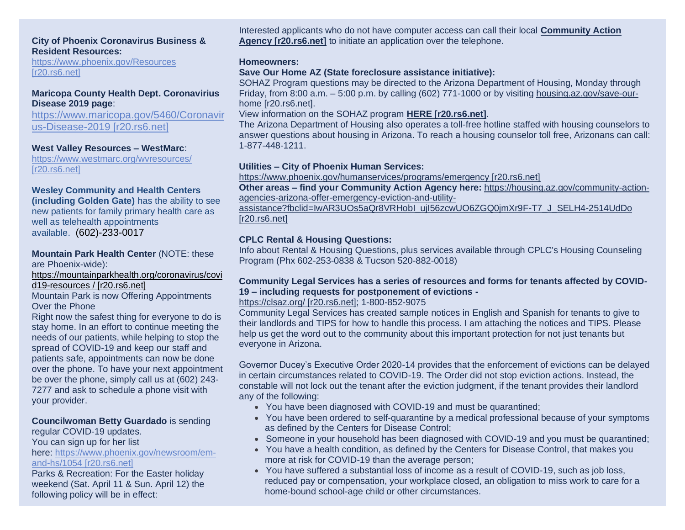#### **City of Phoenix Coronavirus Business & Resident Resources:**

[https://www.phoenix.gov/Resources](https://urldefense.com/v3/__http:/r20.rs6.net/tn.jsp?f=001c184bZjLv8sXdDF5ckNqPGaqLLVM4jLfUk47Zv4swugGhanB5_6SEKS4pEF6c9dPHMVsRyUoZfZvci5VBU3TDwjAWA5MzTMYLH4LZKUxttwwUGt577mGax9ZPNXEGVXNXkq6LqDZujtsrvlrnZwtj00CA3NZFi2I&c=VjyxH310zv2Mfe0U-33kNLIFOO8FGga3NKLFWcVMxhsGkBosXKaECw==&ch=U0yhzDUPR0yNKAF0oIQOYNnMFlVUSvhRWRpuINw1DbZ9U8p05q5Aug==__;!!LkjWUF49MRd51_ry!PYFkHBftJHta9Vv9RDvvPjX2mBnHVUOrYlrgvdUeW-6H7mhl4HxuoNUw3g3TAZ8om-Vy7Wo$)  [\[r20.rs6.net\]](https://urldefense.com/v3/__http:/r20.rs6.net/tn.jsp?f=001c184bZjLv8sXdDF5ckNqPGaqLLVM4jLfUk47Zv4swugGhanB5_6SEKS4pEF6c9dPHMVsRyUoZfZvci5VBU3TDwjAWA5MzTMYLH4LZKUxttwwUGt577mGax9ZPNXEGVXNXkq6LqDZujtsrvlrnZwtj00CA3NZFi2I&c=VjyxH310zv2Mfe0U-33kNLIFOO8FGga3NKLFWcVMxhsGkBosXKaECw==&ch=U0yhzDUPR0yNKAF0oIQOYNnMFlVUSvhRWRpuINw1DbZ9U8p05q5Aug==__;!!LkjWUF49MRd51_ry!PYFkHBftJHta9Vv9RDvvPjX2mBnHVUOrYlrgvdUeW-6H7mhl4HxuoNUw3g3TAZ8om-Vy7Wo$)

#### **Maricopa County Health Dept. Coronavirius Disease 2019 page**:

[https://www.maricopa.gov/5460/Coronavir](https://urldefense.com/v3/__http:/r20.rs6.net/tn.jsp?f=001c184bZjLv8sXdDF5ckNqPGaqLLVM4jLfUk47Zv4swugGhanB5_6SEKS4pEF6c9dPqbJbd7WR_DkNhdbrSzogjDsQvAtYsEWFmnbcSFqEYBOVu5kLJZrnuyRVj7WcItpwyf8dCJiDrfoyS4baMp22pbeDsf0SQ00mooNRMWfN1YPbvn8D27hR2_RsBvACCcN6&c=VjyxH310zv2Mfe0U-33kNLIFOO8FGga3NKLFWcVMxhsGkBosXKaECw==&ch=U0yhzDUPR0yNKAF0oIQOYNnMFlVUSvhRWRpuINw1DbZ9U8p05q5Aug==__;!!LkjWUF49MRd51_ry!PYFkHBftJHta9Vv9RDvvPjX2mBnHVUOrYlrgvdUeW-6H7mhl4HxuoNUw3g3TAZ8oDWWluIQ$) [us-Disease-2019 \[r20.rs6.net\]](https://urldefense.com/v3/__http:/r20.rs6.net/tn.jsp?f=001c184bZjLv8sXdDF5ckNqPGaqLLVM4jLfUk47Zv4swugGhanB5_6SEKS4pEF6c9dPqbJbd7WR_DkNhdbrSzogjDsQvAtYsEWFmnbcSFqEYBOVu5kLJZrnuyRVj7WcItpwyf8dCJiDrfoyS4baMp22pbeDsf0SQ00mooNRMWfN1YPbvn8D27hR2_RsBvACCcN6&c=VjyxH310zv2Mfe0U-33kNLIFOO8FGga3NKLFWcVMxhsGkBosXKaECw==&ch=U0yhzDUPR0yNKAF0oIQOYNnMFlVUSvhRWRpuINw1DbZ9U8p05q5Aug==__;!!LkjWUF49MRd51_ry!PYFkHBftJHta9Vv9RDvvPjX2mBnHVUOrYlrgvdUeW-6H7mhl4HxuoNUw3g3TAZ8oDWWluIQ$)

#### **West Valley Resources – WestMarc**:

[https://www.westmarc.org/wvresources/](https://urldefense.com/v3/__http:/r20.rs6.net/tn.jsp?f=001c184bZjLv8sXdDF5ckNqPGaqLLVM4jLfUk47Zv4swugGhanB5_6SEKS4pEF6c9dPE0xFjJKHDJ6DZBood37znUr2I7b1Ya3pt0Frga_GJJXJ0bvP9ryZ8ziXxBJ7LQXeAwIDFJCWiM_rY_dmReuFlb5sDMBHQjx56cR9lfsl_ao=&c=VjyxH310zv2Mfe0U-33kNLIFOO8FGga3NKLFWcVMxhsGkBosXKaECw==&ch=U0yhzDUPR0yNKAF0oIQOYNnMFlVUSvhRWRpuINw1DbZ9U8p05q5Aug==__;!!LkjWUF49MRd51_ry!PYFkHBftJHta9Vv9RDvvPjX2mBnHVUOrYlrgvdUeW-6H7mhl4HxuoNUw3g3TAZ8oqD70oeA$)  [\[r20.rs6.net\]](https://urldefense.com/v3/__http:/r20.rs6.net/tn.jsp?f=001c184bZjLv8sXdDF5ckNqPGaqLLVM4jLfUk47Zv4swugGhanB5_6SEKS4pEF6c9dPE0xFjJKHDJ6DZBood37znUr2I7b1Ya3pt0Frga_GJJXJ0bvP9ryZ8ziXxBJ7LQXeAwIDFJCWiM_rY_dmReuFlb5sDMBHQjx56cR9lfsl_ao=&c=VjyxH310zv2Mfe0U-33kNLIFOO8FGga3NKLFWcVMxhsGkBosXKaECw==&ch=U0yhzDUPR0yNKAF0oIQOYNnMFlVUSvhRWRpuINw1DbZ9U8p05q5Aug==__;!!LkjWUF49MRd51_ry!PYFkHBftJHta9Vv9RDvvPjX2mBnHVUOrYlrgvdUeW-6H7mhl4HxuoNUw3g3TAZ8oqD70oeA$)

#### **Wesley Community and Health Centers**

**(including Golden Gate)** has the ability to see new patients for family primary health care as well as telehealth appointments available. (602)-233-0017

#### **Mountain Park Health Center** (NOTE: these are Phoenix-wide):

[https://mountainparkhealth.org/coronavirus/covi](https://urldefense.com/v3/__http:/r20.rs6.net/tn.jsp?f=001c184bZjLv8sXdDF5ckNqPGaqLLVM4jLfUk47Zv4swugGhanB5_6SEKS4pEF6c9dPIorZzcmGI2InDO0_rFeB1s40PJ0kmhudjJvKsFesP_I3xm8WId6V25iJbpQe9p40tvn9QjVr0KDjkyzoUyw9uHhKPO5U37fjOjJk3AooAMgleTQ9axM9D3RbhcIheloY5nlXB3FsVAmK7WzgInoE-y7hPMyDxpvhT3ZrG6Akemwl8gml4jrv-Qgim5vbVxXLpTsIIbSsDOZj2wepn3ioaC0HEREyl2c-3yXNWDKXuekKpY43TyLtndeoCXvQfG_9Wjg3iL3KDFjseGRoVqn0A3ffIKsvNiBoCY05d5sB88cEBTkqtsY5us6H4Un4-W2JJhqATofTS9EDzVs8eQxhYvAscGyI49QCh3-cl-E084TFSc2JeKrUjNx8HLlCmOfC179nKwcHkAweP_LBqs_nlYJD40TxSKLnF3vVtXzX77leyxrb-3ysmEwS1ww4BURaRTVJ6GzrNNaq8u34JVpprJwB-0QmlfMdvp67l3iA0qwE1DBj6wynhw==&c=VjyxH310zv2Mfe0U-33kNLIFOO8FGga3NKLFWcVMxhsGkBosXKaECw==&ch=U0yhzDUPR0yNKAF0oIQOYNnMFlVUSvhRWRpuINw1DbZ9U8p05q5Aug==__;!!LkjWUF49MRd51_ry!PYFkHBftJHta9Vv9RDvvPjX2mBnHVUOrYlrgvdUeW-6H7mhl4HxuoNUw3g3TAZ8o5oT97yw$) [d19-resources / \[r20.rs6.net\]](https://urldefense.com/v3/__http:/r20.rs6.net/tn.jsp?f=001c184bZjLv8sXdDF5ckNqPGaqLLVM4jLfUk47Zv4swugGhanB5_6SEKS4pEF6c9dPIorZzcmGI2InDO0_rFeB1s40PJ0kmhudjJvKsFesP_I3xm8WId6V25iJbpQe9p40tvn9QjVr0KDjkyzoUyw9uHhKPO5U37fjOjJk3AooAMgleTQ9axM9D3RbhcIheloY5nlXB3FsVAmK7WzgInoE-y7hPMyDxpvhT3ZrG6Akemwl8gml4jrv-Qgim5vbVxXLpTsIIbSsDOZj2wepn3ioaC0HEREyl2c-3yXNWDKXuekKpY43TyLtndeoCXvQfG_9Wjg3iL3KDFjseGRoVqn0A3ffIKsvNiBoCY05d5sB88cEBTkqtsY5us6H4Un4-W2JJhqATofTS9EDzVs8eQxhYvAscGyI49QCh3-cl-E084TFSc2JeKrUjNx8HLlCmOfC179nKwcHkAweP_LBqs_nlYJD40TxSKLnF3vVtXzX77leyxrb-3ysmEwS1ww4BURaRTVJ6GzrNNaq8u34JVpprJwB-0QmlfMdvp67l3iA0qwE1DBj6wynhw==&c=VjyxH310zv2Mfe0U-33kNLIFOO8FGga3NKLFWcVMxhsGkBosXKaECw==&ch=U0yhzDUPR0yNKAF0oIQOYNnMFlVUSvhRWRpuINw1DbZ9U8p05q5Aug==__;!!LkjWUF49MRd51_ry!PYFkHBftJHta9Vv9RDvvPjX2mBnHVUOrYlrgvdUeW-6H7mhl4HxuoNUw3g3TAZ8o5oT97yw$)

Mountain Park is now Offering Appointments Over the Phone

Right now the safest thing for everyone to do is stay home. In an effort to continue meeting the needs of our patients, while helping to stop the spread of COVID-19 and keep our staff and patients safe, appointments can now be done over the phone. To have your next appointment be over the phone, simply call us at (602) 243- 7277 and ask to schedule a phone visit with your provider.

#### **Councilwoman Betty Guardado** is sending

regular COVID-19 updates.

You can sign up for her list

#### here: [https://www.phoenix.gov/newsroom/em](https://urldefense.com/v3/__http:/r20.rs6.net/tn.jsp?f=001c184bZjLv8sXdDF5ckNqPGaqLLVM4jLfUk47Zv4swugGhanB5_6SEKS4pEF6c9dPic3WvoUdh0lyv9zs59JWzZSK1AM5TgkCN8Xjl2Hw3G9fNzLgN3D_SG_PNDNYNewPKpasT-0vr40K2VgPB3nN5QaWdI3Vh8XF5tKDhQ4nFfpj8RKTdw518xOQ-j5gch5VCsono1P5vfqvknyULfGp685E_BTxQw5lHUYyd1DBtrOKYinVojCjNvzJ7jKQrN4KDRcenFhJ5cbRZE6RDcXAdDc0pEl68o7Isc0t-kHKkPMYLw4lG-8j6w-QdzMQizJaHPAkRkceZ_-ppBib2nY7BTWl49lo9F39joaHKm-bFAfNDAs-mvKUM0cuOUKRz_t_GJwAE1N-WfSRkQ_STcu5v6ngnKQFjAolnNzxlSFbzEp1ODwJxlfosI8nlKQQI1-uIG-Pv5zc-gm-g-2x09SVdACbKXRctpdGWjXUmpKE9u4Mm7ufIkVtnFhTxDv2-TCUEDAuaaEUtU8te2B-z2yhECjc18OSSE9d&c=VjyxH310zv2Mfe0U-33kNLIFOO8FGga3NKLFWcVMxhsGkBosXKaECw==&ch=U0yhzDUPR0yNKAF0oIQOYNnMFlVUSvhRWRpuINw1DbZ9U8p05q5Aug==__;!!LkjWUF49MRd51_ry!PYFkHBftJHta9Vv9RDvvPjX2mBnHVUOrYlrgvdUeW-6H7mhl4HxuoNUw3g3TAZ8oj4TPPfs$)[and-hs/1054 \[r20.rs6.net\]](https://urldefense.com/v3/__http:/r20.rs6.net/tn.jsp?f=001c184bZjLv8sXdDF5ckNqPGaqLLVM4jLfUk47Zv4swugGhanB5_6SEKS4pEF6c9dPic3WvoUdh0lyv9zs59JWzZSK1AM5TgkCN8Xjl2Hw3G9fNzLgN3D_SG_PNDNYNewPKpasT-0vr40K2VgPB3nN5QaWdI3Vh8XF5tKDhQ4nFfpj8RKTdw518xOQ-j5gch5VCsono1P5vfqvknyULfGp685E_BTxQw5lHUYyd1DBtrOKYinVojCjNvzJ7jKQrN4KDRcenFhJ5cbRZE6RDcXAdDc0pEl68o7Isc0t-kHKkPMYLw4lG-8j6w-QdzMQizJaHPAkRkceZ_-ppBib2nY7BTWl49lo9F39joaHKm-bFAfNDAs-mvKUM0cuOUKRz_t_GJwAE1N-WfSRkQ_STcu5v6ngnKQFjAolnNzxlSFbzEp1ODwJxlfosI8nlKQQI1-uIG-Pv5zc-gm-g-2x09SVdACbKXRctpdGWjXUmpKE9u4Mm7ufIkVtnFhTxDv2-TCUEDAuaaEUtU8te2B-z2yhECjc18OSSE9d&c=VjyxH310zv2Mfe0U-33kNLIFOO8FGga3NKLFWcVMxhsGkBosXKaECw==&ch=U0yhzDUPR0yNKAF0oIQOYNnMFlVUSvhRWRpuINw1DbZ9U8p05q5Aug==__;!!LkjWUF49MRd51_ry!PYFkHBftJHta9Vv9RDvvPjX2mBnHVUOrYlrgvdUeW-6H7mhl4HxuoNUw3g3TAZ8oj4TPPfs$)

Parks & Recreation: For the Easter holiday weekend (Sat. April 11 & Sun. April 12) the following policy will be in effect:

Interested applicants who do not have computer access can call their local **[Community Action](https://urldefense.com/v3/__http:/r20.rs6.net/tn.jsp?f=001c184bZjLv8sXdDF5ckNqPGaqLLVM4jLfUk47Zv4swugGhanB5_6SEKS4pEF6c9dPFIKjmgHa_xBHkLU9SLxSa0FcuxOPEbSrhCaSRI-xQkIlJVjdmwUWmgm7szA8Bgt_LMb-bKgfxaO-iMx38al-QRw4t3R40vAuoxECBxmqV46mhLJpZeSIbGd1Ince8j43Wvgui3DwSh-cAU6566mJ8vyCGDsz1jm8fcbR8LneyqJ54TQqyTtET2sg6d0btcQD&c=VjyxH310zv2Mfe0U-33kNLIFOO8FGga3NKLFWcVMxhsGkBosXKaECw==&ch=U0yhzDUPR0yNKAF0oIQOYNnMFlVUSvhRWRpuINw1DbZ9U8p05q5Aug==__;!!LkjWUF49MRd51_ry!PYFkHBftJHta9Vv9RDvvPjX2mBnHVUOrYlrgvdUeW-6H7mhl4HxuoNUw3g3TAZ8ofs02JvY$)  [Agency \[r20.rs6.net\]](https://urldefense.com/v3/__http:/r20.rs6.net/tn.jsp?f=001c184bZjLv8sXdDF5ckNqPGaqLLVM4jLfUk47Zv4swugGhanB5_6SEKS4pEF6c9dPFIKjmgHa_xBHkLU9SLxSa0FcuxOPEbSrhCaSRI-xQkIlJVjdmwUWmgm7szA8Bgt_LMb-bKgfxaO-iMx38al-QRw4t3R40vAuoxECBxmqV46mhLJpZeSIbGd1Ince8j43Wvgui3DwSh-cAU6566mJ8vyCGDsz1jm8fcbR8LneyqJ54TQqyTtET2sg6d0btcQD&c=VjyxH310zv2Mfe0U-33kNLIFOO8FGga3NKLFWcVMxhsGkBosXKaECw==&ch=U0yhzDUPR0yNKAF0oIQOYNnMFlVUSvhRWRpuINw1DbZ9U8p05q5Aug==__;!!LkjWUF49MRd51_ry!PYFkHBftJHta9Vv9RDvvPjX2mBnHVUOrYlrgvdUeW-6H7mhl4HxuoNUw3g3TAZ8ofs02JvY$)** to initiate an application over the telephone.

#### **Homeowners:**

#### **Save Our Home AZ (State foreclosure assistance initiative):**

SOHAZ Program questions may be directed to the Arizona Department of Housing, Monday through Friday, from 8:00 a.m. – 5:00 p.m. by calling (602) 771-1000 or by visiting [housing.az.gov/save-our](https://urldefense.com/v3/__http:/r20.rs6.net/tn.jsp?f=001c184bZjLv8sXdDF5ckNqPGaqLLVM4jLfUk47Zv4swugGhanB5_6SEKS4pEF6c9dPGEXhvIVKnKk8XzagaZcaApsQOuKZJuVNfMTvSzDiv7LvdrUeWPtEULuNIz5T3Klwo5WzY23V620VH0F7Noo1qfi-V2f-3vfiQ-Z-poZCbjih6N6U4Ln3iGnrzQN9qSDNwoV5vfLQZrPBygzvGG6UJYh2aGKUMNgS8Ov3yMVNzt0AEypG_jYvNyTi_qDn9JqKSMwLjmfi_I8EBwQMQyBWLhCX2wdpLMeJ2fM-B10W0RJkRmcf8zW2vwcdgur-JAwkeAyAHExsEddrDzRzNhnpYFed9oOngtOKwszeZ9X_xayJzfF4Pk_OQDfzIh_VLIYiKZ-550jjkGPDIuS5_VHYKFr8qTkR-HGxVy2918dT0cC-xdZCsTJZUpP1MZRgcVGBD1iuTuKW1aAx2uYAuKjx0III-aNblSDhDdWXh8nQmZmMYCOwLiaRPKRgDCB4vXJ0QnuuDusHLavuvXJLHRFF-Q==&c=VjyxH310zv2Mfe0U-33kNLIFOO8FGga3NKLFWcVMxhsGkBosXKaECw==&ch=U0yhzDUPR0yNKAF0oIQOYNnMFlVUSvhRWRpuINw1DbZ9U8p05q5Aug==__;!!LkjWUF49MRd51_ry!PYFkHBftJHta9Vv9RDvvPjX2mBnHVUOrYlrgvdUeW-6H7mhl4HxuoNUw3g3TAZ8ouqX2K7M$)[home \[r20.rs6.net\].](https://urldefense.com/v3/__http:/r20.rs6.net/tn.jsp?f=001c184bZjLv8sXdDF5ckNqPGaqLLVM4jLfUk47Zv4swugGhanB5_6SEKS4pEF6c9dPGEXhvIVKnKk8XzagaZcaApsQOuKZJuVNfMTvSzDiv7LvdrUeWPtEULuNIz5T3Klwo5WzY23V620VH0F7Noo1qfi-V2f-3vfiQ-Z-poZCbjih6N6U4Ln3iGnrzQN9qSDNwoV5vfLQZrPBygzvGG6UJYh2aGKUMNgS8Ov3yMVNzt0AEypG_jYvNyTi_qDn9JqKSMwLjmfi_I8EBwQMQyBWLhCX2wdpLMeJ2fM-B10W0RJkRmcf8zW2vwcdgur-JAwkeAyAHExsEddrDzRzNhnpYFed9oOngtOKwszeZ9X_xayJzfF4Pk_OQDfzIh_VLIYiKZ-550jjkGPDIuS5_VHYKFr8qTkR-HGxVy2918dT0cC-xdZCsTJZUpP1MZRgcVGBD1iuTuKW1aAx2uYAuKjx0III-aNblSDhDdWXh8nQmZmMYCOwLiaRPKRgDCB4vXJ0QnuuDusHLavuvXJLHRFF-Q==&c=VjyxH310zv2Mfe0U-33kNLIFOO8FGga3NKLFWcVMxhsGkBosXKaECw==&ch=U0yhzDUPR0yNKAF0oIQOYNnMFlVUSvhRWRpuINw1DbZ9U8p05q5Aug==__;!!LkjWUF49MRd51_ry!PYFkHBftJHta9Vv9RDvvPjX2mBnHVUOrYlrgvdUeW-6H7mhl4HxuoNUw3g3TAZ8ouqX2K7M$)

## View information on the SOHAZ program **[HERE \[r20.rs6.net\]](https://urldefense.com/v3/__http:/r20.rs6.net/tn.jsp?f=001c184bZjLv8sXdDF5ckNqPGaqLLVM4jLfUk47Zv4swugGhanB5_6SEKS4pEF6c9dPGEXhvIVKnKk8XzagaZcaApsQOuKZJuVNfMTvSzDiv7LvdrUeWPtEULuNIz5T3Klwo5WzY23V620VH0F7Noo1qfi-V2f-3vfiQ-Z-poZCbjih6N6U4Ln3iGnrzQN9qSDNwoV5vfLQZrPBygzvGG6UJYh2aGKUMNgS8Ov3yMVNzt0AEypG_jYvNyTi_qDn9JqKSMwLjmfi_I8EBwQMQyBWLhCX2wdpLMeJ2fM-B10W0RJkRmcf8zW2vwcdgur-JAwkeAyAHExsEddrDzRzNhnpYFed9oOngtOKwszeZ9X_xayJzfF4Pk_OQDfzIh_VLIYiKZ-550jjkGPDIuS5_VHYKFr8qTkR-HGxVy2918dT0cC-xdZCsTJZUpP1MZRgcVGBD1iuTuKW1aAx2uYAuKjx0III-aNblSDhDdWXh8nQmZmMYCOwLiaRPKRgDCB4vXJ0QnuuDusHLavuvXJLHRFF-Q==&c=VjyxH310zv2Mfe0U-33kNLIFOO8FGga3NKLFWcVMxhsGkBosXKaECw==&ch=U0yhzDUPR0yNKAF0oIQOYNnMFlVUSvhRWRpuINw1DbZ9U8p05q5Aug==__;!!LkjWUF49MRd51_ry!PYFkHBftJHta9Vv9RDvvPjX2mBnHVUOrYlrgvdUeW-6H7mhl4HxuoNUw3g3TAZ8ouqX2K7M$)**.

The Arizona Department of Housing also operates a toll-free hotline staffed with housing counselors to answer questions about housing in Arizona. To reach a housing counselor toll free, Arizonans can call: 1-877-448-1211.

#### **Utilities – City of Phoenix Human Services:**

[https://www.phoenix.gov/humanservices/programs/emergency \[r20.rs6.net\]](https://urldefense.com/v3/__http:/r20.rs6.net/tn.jsp?f=001c184bZjLv8sXdDF5ckNqPGaqLLVM4jLfUk47Zv4swugGhanB5_6SEKS4pEF6c9dP1OqwxNRx21Hy8mjsWGZfqWEBGxYCdsMLB7fpZNUO5SpDXcDJfwZs9EqHTAkU5EhNPY1RaT6XX8GEBW7cih1yuRiKzRfUicul0ekFZQXbiGV3boci1kAZjgxPSrYFMwIE&c=VjyxH310zv2Mfe0U-33kNLIFOO8FGga3NKLFWcVMxhsGkBosXKaECw==&ch=U0yhzDUPR0yNKAF0oIQOYNnMFlVUSvhRWRpuINw1DbZ9U8p05q5Aug==__;!!LkjWUF49MRd51_ry!PYFkHBftJHta9Vv9RDvvPjX2mBnHVUOrYlrgvdUeW-6H7mhl4HxuoNUw3g3TAZ8oceo80CI$)

**Other areas – find your Community Action Agency here:** [https://housing.az.gov/community-action](https://urldefense.com/v3/__http:/r20.rs6.net/tn.jsp?f=001c184bZjLv8sXdDF5ckNqPGaqLLVM4jLfUk47Zv4swugGhanB5_6SEKS4pEF6c9dPkstIbsLkixJzDYCODseY-LvcUcgPgru1XCIrs3Z8edEE2PV91m7HGSsIYc32NO4EgHlFfFo0UM0ibbmp0yXec1orA5ZtyrPXHtZaUO3A6MsxRb4e6KV38hbW6G8ktyTnEgAQ-t2xEKQ54Wl1Reg0UpCSI0P-KN25atNwvF4MeafwiGUE1rhdFBhyzxvD7s8A4YuxQ9sLrcCCQ7Lo1BBCC4aAHEeLmPbLeXKjZT2UdjnaO6HOx_sfFqNGFZaEG7v42Krkjd9HaIUZTzRzhdGo20Zfyclnno-W&c=VjyxH310zv2Mfe0U-33kNLIFOO8FGga3NKLFWcVMxhsGkBosXKaECw==&ch=U0yhzDUPR0yNKAF0oIQOYNnMFlVUSvhRWRpuINw1DbZ9U8p05q5Aug==__;!!LkjWUF49MRd51_ry!PYFkHBftJHta9Vv9RDvvPjX2mBnHVUOrYlrgvdUeW-6H7mhl4HxuoNUw3g3TAZ8oNlz1KR4$)[agencies-arizona-offer-emergency-eviction-and-utility-](https://urldefense.com/v3/__http:/r20.rs6.net/tn.jsp?f=001c184bZjLv8sXdDF5ckNqPGaqLLVM4jLfUk47Zv4swugGhanB5_6SEKS4pEF6c9dPkstIbsLkixJzDYCODseY-LvcUcgPgru1XCIrs3Z8edEE2PV91m7HGSsIYc32NO4EgHlFfFo0UM0ibbmp0yXec1orA5ZtyrPXHtZaUO3A6MsxRb4e6KV38hbW6G8ktyTnEgAQ-t2xEKQ54Wl1Reg0UpCSI0P-KN25atNwvF4MeafwiGUE1rhdFBhyzxvD7s8A4YuxQ9sLrcCCQ7Lo1BBCC4aAHEeLmPbLeXKjZT2UdjnaO6HOx_sfFqNGFZaEG7v42Krkjd9HaIUZTzRzhdGo20Zfyclnno-W&c=VjyxH310zv2Mfe0U-33kNLIFOO8FGga3NKLFWcVMxhsGkBosXKaECw==&ch=U0yhzDUPR0yNKAF0oIQOYNnMFlVUSvhRWRpuINw1DbZ9U8p05q5Aug==__;!!LkjWUF49MRd51_ry!PYFkHBftJHta9Vv9RDvvPjX2mBnHVUOrYlrgvdUeW-6H7mhl4HxuoNUw3g3TAZ8oNlz1KR4$)

[assistance?fbclid=IwAR3UOs5aQr8VRHobI\\_ujI56zcwUO6ZGQ0jmXr9F-T7\\_J\\_SELH4-2514UdDo](https://urldefense.com/v3/__http:/r20.rs6.net/tn.jsp?f=001c184bZjLv8sXdDF5ckNqPGaqLLVM4jLfUk47Zv4swugGhanB5_6SEKS4pEF6c9dPkstIbsLkixJzDYCODseY-LvcUcgPgru1XCIrs3Z8edEE2PV91m7HGSsIYc32NO4EgHlFfFo0UM0ibbmp0yXec1orA5ZtyrPXHtZaUO3A6MsxRb4e6KV38hbW6G8ktyTnEgAQ-t2xEKQ54Wl1Reg0UpCSI0P-KN25atNwvF4MeafwiGUE1rhdFBhyzxvD7s8A4YuxQ9sLrcCCQ7Lo1BBCC4aAHEeLmPbLeXKjZT2UdjnaO6HOx_sfFqNGFZaEG7v42Krkjd9HaIUZTzRzhdGo20Zfyclnno-W&c=VjyxH310zv2Mfe0U-33kNLIFOO8FGga3NKLFWcVMxhsGkBosXKaECw==&ch=U0yhzDUPR0yNKAF0oIQOYNnMFlVUSvhRWRpuINw1DbZ9U8p05q5Aug==__;!!LkjWUF49MRd51_ry!PYFkHBftJHta9Vv9RDvvPjX2mBnHVUOrYlrgvdUeW-6H7mhl4HxuoNUw3g3TAZ8oNlz1KR4$)  [\[r20.rs6.net\]](https://urldefense.com/v3/__http:/r20.rs6.net/tn.jsp?f=001c184bZjLv8sXdDF5ckNqPGaqLLVM4jLfUk47Zv4swugGhanB5_6SEKS4pEF6c9dPkstIbsLkixJzDYCODseY-LvcUcgPgru1XCIrs3Z8edEE2PV91m7HGSsIYc32NO4EgHlFfFo0UM0ibbmp0yXec1orA5ZtyrPXHtZaUO3A6MsxRb4e6KV38hbW6G8ktyTnEgAQ-t2xEKQ54Wl1Reg0UpCSI0P-KN25atNwvF4MeafwiGUE1rhdFBhyzxvD7s8A4YuxQ9sLrcCCQ7Lo1BBCC4aAHEeLmPbLeXKjZT2UdjnaO6HOx_sfFqNGFZaEG7v42Krkjd9HaIUZTzRzhdGo20Zfyclnno-W&c=VjyxH310zv2Mfe0U-33kNLIFOO8FGga3NKLFWcVMxhsGkBosXKaECw==&ch=U0yhzDUPR0yNKAF0oIQOYNnMFlVUSvhRWRpuINw1DbZ9U8p05q5Aug==__;!!LkjWUF49MRd51_ry!PYFkHBftJHta9Vv9RDvvPjX2mBnHVUOrYlrgvdUeW-6H7mhl4HxuoNUw3g3TAZ8oNlz1KR4$)

### **CPLC Rental & Housing Questions:**

Info about Rental & Housing Questions, plus services available through CPLC's Housing Counseling Program (Phx 602-253-0838 & Tucson 520-882-0018)

#### **Community Legal Services has a series of resources and forms for tenants affected by COVID-19 – including requests for postponement of evictions -**

#### [https://clsaz.org/ \[r20.rs6.net\];](https://urldefense.com/v3/__http:/r20.rs6.net/tn.jsp?f=001c184bZjLv8sXdDF5ckNqPGaqLLVM4jLfUk47Zv4swugGhanB5_6SEKS4pEF6c9dP-UCoFIgdODr4VjP2fT2MMowJi-3Ii0Qf5H8cRFSh73y3V-objWvubfjfHwma80i64ZxA1DRhEXY=&c=VjyxH310zv2Mfe0U-33kNLIFOO8FGga3NKLFWcVMxhsGkBosXKaECw==&ch=U0yhzDUPR0yNKAF0oIQOYNnMFlVUSvhRWRpuINw1DbZ9U8p05q5Aug==__;!!LkjWUF49MRd51_ry!PYFkHBftJHta9Vv9RDvvPjX2mBnHVUOrYlrgvdUeW-6H7mhl4HxuoNUw3g3TAZ8osQES5rg$) 1-800-852-9075

Community Legal Services has created sample notices in English and Spanish for tenants to give to their landlords and TIPS for how to handle this process. I am attaching the notices and TIPS. Please help us get the word out to the community about this important protection for not just tenants but everyone in Arizona.

Governor Ducey's Executive Order 2020-14 provides that the enforcement of evictions can be delayed in certain circumstances related to COVID-19. The Order did not stop eviction actions. Instead, the constable will not lock out the tenant after the eviction judgment, if the tenant provides their landlord any of the following:

- You have been diagnosed with COVID-19 and must be quarantined;
- You have been ordered to self-quarantine by a medical professional because of your symptoms as defined by the Centers for Disease Control;
- Someone in your household has been diagnosed with COVID-19 and you must be quarantined;
- You have a health condition, as defined by the Centers for Disease Control, that makes you more at risk for COVID-19 than the average person;
- You have suffered a substantial loss of income as a result of COVID-19, such as job loss, reduced pay or compensation, your workplace closed, an obligation to miss work to care for a home-bound school-age child or other circumstances.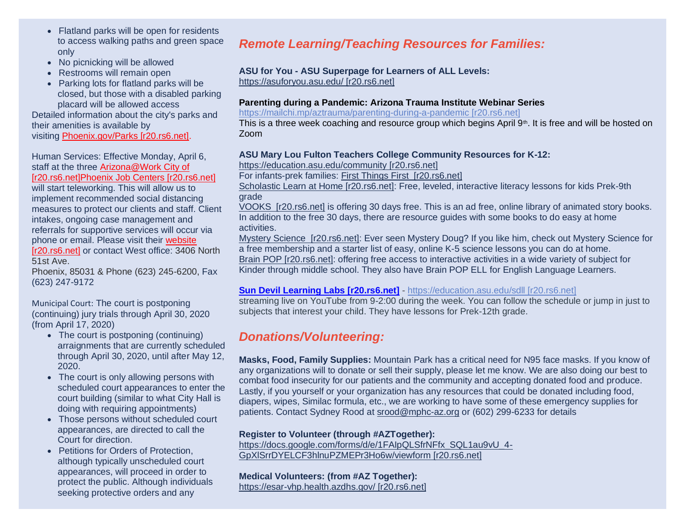- Flatland parks will be open for residents to access walking paths and green space only
- No picnicking will be allowed
- Restrooms will remain open
- Parking lots for flatland parks will be closed, but those with a disabled parking placard will be allowed access

Detailed information about the city's parks and their amenities is available by visiting [Phoenix.gov/Parks \[r20.rs6.net\].](https://urldefense.com/v3/__http:/r20.rs6.net/tn.jsp?f=001c184bZjLv8sXdDF5ckNqPGaqLLVM4jLfUk47Zv4swugGhanB5_6SEKS4pEF6c9dPAZaSY1x-zZIXMZa2tzscxblkisWsxCvnE7VO-BTt5n7ldb4DuCkpDh2P-fIvoauk-9QFqhgjIbescXIdGfWgKS9EDhndrE39HqI7Jvo3204jkTwFe5UgUPzvsrbSJovLZHRXVfS4FoFTkUYKynleTdSiSevdHdeeXLbomCw09fGN1HMgEKSutAvDSIhtdYQp5abPTfv-hxbudWB84NwMlSFHpFj0aqpjxt4Y04qVKWn_VDdT1e2u-_Y5eBx61lGf6BENa689A59v_hYi3tVZnTqZMSpPcqKrFys33gt6jT-dIETgQXYsTHuk_B6cX_-OqV-mdha4qB21nc4j1E5_TKCHzp5lgkwLfysXI7xG5EAQqE43nLCm8_WGYZiUK9amlXrVzsdAY4RM0qossuuuSGdS8k1TT3ueJ685q9iVCTecVSJkh_4TXtgk0lKVdrWo53wUcmcCVEFalN51nd6uJYKy-_fHZ-TO&c=VjyxH310zv2Mfe0U-33kNLIFOO8FGga3NKLFWcVMxhsGkBosXKaECw==&ch=U0yhzDUPR0yNKAF0oIQOYNnMFlVUSvhRWRpuINw1DbZ9U8p05q5Aug==__;!!LkjWUF49MRd51_ry!PYFkHBftJHta9Vv9RDvvPjX2mBnHVUOrYlrgvdUeW-6H7mhl4HxuoNUw3g3TAZ8oq9_h6pI$)

Human Services: Effective Monday, April 6, staff at the three [Arizona@Work City of](https://urldefense.com/v3/__http:/r20.rs6.net/tn.jsp?f=001c184bZjLv8sXdDF5ckNqPGaqLLVM4jLfUk47Zv4swugGhanB5_6SEKS4pEF6c9dP0oR7NmzXCDtiAeuTG6rmC4UYl8zKAiLgOtdIPa5EJSLEjUPEFfpnZdKm1kpQgMa2YCjVwVoNF5_14cjiBQSBwIjEVoB2xrDXHa30DUVwV66ZmcRysaPmFbGRKfZy95tS6R5-F7VaQu8bA7zgmdmOaYNt3CJ7HfZNwmZZgIi56Kb-o0fqixu19WT62nHpsv1pFcdNXXSlE9asY-O4Rcl3_Wkk8nL3fHhqejz4HGFU6ULxxve4qj0LkOGtK1zff771AuU5jfbxz4mbMFvNQQoh6KY5MlwNf_a5mZzfppq9-DhYO4CnjJSTh1SabntynIkrBB8-m_BNmRsGzjcK-y4IUDCVh-n8DEQzsRzgBMVykQ3cAJ1B2FXVkup_ncvZ4hDa0gnMhaDnvEGBU0bgqAlOZMIrJWCulctJp4F1IDyfTHlTCG8DZTF74Pin9cTmZ9GNYy_EJBH7clL4mv_9K2jndx4VC1n7CEJy&c=VjyxH310zv2Mfe0U-33kNLIFOO8FGga3NKLFWcVMxhsGkBosXKaECw==&ch=U0yhzDUPR0yNKAF0oIQOYNnMFlVUSvhRWRpuINw1DbZ9U8p05q5Aug==__;!!LkjWUF49MRd51_ry!PYFkHBftJHta9Vv9RDvvPjX2mBnHVUOrYlrgvdUeW-6H7mhl4HxuoNUw3g3TAZ8oPhWOpFs$)  [\[r20.rs6.net\]Phoenix Job Centers \[r20.rs6.net\]](https://urldefense.com/v3/__http:/r20.rs6.net/tn.jsp?f=001c184bZjLv8sXdDF5ckNqPGaqLLVM4jLfUk47Zv4swugGhanB5_6SEKS4pEF6c9dP0oR7NmzXCDtiAeuTG6rmC4UYl8zKAiLgOtdIPa5EJSLEjUPEFfpnZdKm1kpQgMa2YCjVwVoNF5_14cjiBQSBwIjEVoB2xrDXHa30DUVwV66ZmcRysaPmFbGRKfZy95tS6R5-F7VaQu8bA7zgmdmOaYNt3CJ7HfZNwmZZgIi56Kb-o0fqixu19WT62nHpsv1pFcdNXXSlE9asY-O4Rcl3_Wkk8nL3fHhqejz4HGFU6ULxxve4qj0LkOGtK1zff771AuU5jfbxz4mbMFvNQQoh6KY5MlwNf_a5mZzfppq9-DhYO4CnjJSTh1SabntynIkrBB8-m_BNmRsGzjcK-y4IUDCVh-n8DEQzsRzgBMVykQ3cAJ1B2FXVkup_ncvZ4hDa0gnMhaDnvEGBU0bgqAlOZMIrJWCulctJp4F1IDyfTHlTCG8DZTF74Pin9cTmZ9GNYy_EJBH7clL4mv_9K2jndx4VC1n7CEJy&c=VjyxH310zv2Mfe0U-33kNLIFOO8FGga3NKLFWcVMxhsGkBosXKaECw==&ch=U0yhzDUPR0yNKAF0oIQOYNnMFlVUSvhRWRpuINw1DbZ9U8p05q5Aug==__;!!LkjWUF49MRd51_ry!PYFkHBftJHta9Vv9RDvvPjX2mBnHVUOrYlrgvdUeW-6H7mhl4HxuoNUw3g3TAZ8oPhWOpFs$)

will start teleworking. This will allow us to implement recommended social distancing measures to protect our clients and staff. Client intakes, ongoing case management and referrals for supportive services will occur via phone or email. Please visit their [website](https://urldefense.com/v3/__http:/r20.rs6.net/tn.jsp?f=001c184bZjLv8sXdDF5ckNqPGaqLLVM4jLfUk47Zv4swugGhanB5_6SEKS4pEF6c9dPSBHPd9PAnpF9S6JPmTvXR0fTuenEOOkxseNXMQjls08wQT2aM-_BahkMB0DYd2mUhXIr77QudNdOSo8o7XJpprZ_OQJ3Jjtu8BsHkWn1cvhZ58awMVKNfaxp3FZKJx1R7BjT0SpwgrrnrqhaOLMAamtjJfikTv38zoyeNBZXXRcgMVlxdlOEmB_A9BujebIG6KFYQTIwwkPXuIfTWgNjW_I3qDBhYbXZLP6fz_ydjCayLOyWvT6JAkywKa-iW3P8vgIErbfm8NPfuvPeIXyIhLx3ty2pEHcXufKpJJElWRODsO71MKKiWR6fQZYJ4T5tyyWFzdvkDG_3HhhlusTWEWhEYV8qqK5NzRuvD9muY6k476WDCir3HM-j0Af4pcWKtHHXh3wII3zm2ehNnmqUnJPi5GDuNYJDdMS88wpeoYsXY6XIXWnykN_SAoI-eiwxTgHzweOiMU_kW8yO5VNBvam1SsZjdoxc&c=VjyxH310zv2Mfe0U-33kNLIFOO8FGga3NKLFWcVMxhsGkBosXKaECw==&ch=U0yhzDUPR0yNKAF0oIQOYNnMFlVUSvhRWRpuINw1DbZ9U8p05q5Aug==__;!!LkjWUF49MRd51_ry!PYFkHBftJHta9Vv9RDvvPjX2mBnHVUOrYlrgvdUeW-6H7mhl4HxuoNUw3g3TAZ8o62Cwnjw$)  [\[r20.rs6.net\]](https://urldefense.com/v3/__http:/r20.rs6.net/tn.jsp?f=001c184bZjLv8sXdDF5ckNqPGaqLLVM4jLfUk47Zv4swugGhanB5_6SEKS4pEF6c9dPSBHPd9PAnpF9S6JPmTvXR0fTuenEOOkxseNXMQjls08wQT2aM-_BahkMB0DYd2mUhXIr77QudNdOSo8o7XJpprZ_OQJ3Jjtu8BsHkWn1cvhZ58awMVKNfaxp3FZKJx1R7BjT0SpwgrrnrqhaOLMAamtjJfikTv38zoyeNBZXXRcgMVlxdlOEmB_A9BujebIG6KFYQTIwwkPXuIfTWgNjW_I3qDBhYbXZLP6fz_ydjCayLOyWvT6JAkywKa-iW3P8vgIErbfm8NPfuvPeIXyIhLx3ty2pEHcXufKpJJElWRODsO71MKKiWR6fQZYJ4T5tyyWFzdvkDG_3HhhlusTWEWhEYV8qqK5NzRuvD9muY6k476WDCir3HM-j0Af4pcWKtHHXh3wII3zm2ehNnmqUnJPi5GDuNYJDdMS88wpeoYsXY6XIXWnykN_SAoI-eiwxTgHzweOiMU_kW8yO5VNBvam1SsZjdoxc&c=VjyxH310zv2Mfe0U-33kNLIFOO8FGga3NKLFWcVMxhsGkBosXKaECw==&ch=U0yhzDUPR0yNKAF0oIQOYNnMFlVUSvhRWRpuINw1DbZ9U8p05q5Aug==__;!!LkjWUF49MRd51_ry!PYFkHBftJHta9Vv9RDvvPjX2mBnHVUOrYlrgvdUeW-6H7mhl4HxuoNUw3g3TAZ8o62Cwnjw$) or contact West office: 3406 North 51st Ave.

Phoenix, 85031 & Phone (623) 245-6200, Fax (623) 247-9172

Municipal Court: The court is postponing (continuing) jury trials through April 30, 2020 (from April 17, 2020)

- The court is postponing (continuing) arraignments that are currently scheduled through April 30, 2020, until after May 12, 2020.
- The court is only allowing persons with scheduled court appearances to enter the court building (similar to what City Hall is doing with requiring appointments)
- Those persons without scheduled court appearances, are directed to call the Court for direction.
- Petitions for Orders of Protection. although typically unscheduled court appearances, will proceed in order to protect the public. Although individuals seeking protective orders and any

# *Remote Learning/Teaching Resources for Families:*

## **ASU for You - ASU Superpage for Learners of ALL Levels:**

[https://asuforyou.asu.edu/ \[r20.rs6.net\]](https://urldefense.com/v3/__http:/r20.rs6.net/tn.jsp?f=001c184bZjLv8sXdDF5ckNqPGaqLLVM4jLfUk47Zv4swugGhanB5_6SEKS4pEF6c9dP_ptUBchRo5-iKvp5NZpw83OUrqHUvxd9GTBQbUs0ouye7b4rnGRVEQUuKDWsxDDrQfI3EGNsuRerLqYlVcaiOg==&c=VjyxH310zv2Mfe0U-33kNLIFOO8FGga3NKLFWcVMxhsGkBosXKaECw==&ch=U0yhzDUPR0yNKAF0oIQOYNnMFlVUSvhRWRpuINw1DbZ9U8p05q5Aug==__;!!LkjWUF49MRd51_ry!PYFkHBftJHta9Vv9RDvvPjX2mBnHVUOrYlrgvdUeW-6H7mhl4HxuoNUw3g3TAZ8oqGq9Wc8$)

## **Parenting during a Pandemic: Arizona Trauma Institute Webinar Series**

[https://mailchi.mp/aztrauma/parenting-during-a-pandemic \[r20.rs6.net\]](https://urldefense.com/v3/__http:/r20.rs6.net/tn.jsp?f=001c184bZjLv8sXdDF5ckNqPGaqLLVM4jLfUk47Zv4swugGhanB5_6SEKS4pEF6c9dPwt8v1t1ajmcS0Fr5YlmRYwAKGENmU4UCONiMHlk64pIk0_vA7zF36m8Yvs0sShJq1S1cucfGjxwbmhiyw5BkC3umZWY6JJ_9eksMfe7T34bAEtOkrfOqQpApdclqp74y&c=VjyxH310zv2Mfe0U-33kNLIFOO8FGga3NKLFWcVMxhsGkBosXKaECw==&ch=U0yhzDUPR0yNKAF0oIQOYNnMFlVUSvhRWRpuINw1DbZ9U8p05q5Aug==__;!!LkjWUF49MRd51_ry!PYFkHBftJHta9Vv9RDvvPjX2mBnHVUOrYlrgvdUeW-6H7mhl4HxuoNUw3g3TAZ8oTyBB8Z8$)

This is a three week coaching and resource group which begins April  $9<sup>th</sup>$ . It is free and will be hosted on Zoom

#### **ASU Mary Lou Fulton Teachers College Community Resources for K-12:**

[https://education.asu.edu/community \[r20.rs6.net\]](https://urldefense.com/v3/__http:/r20.rs6.net/tn.jsp?f=001c184bZjLv8sXdDF5ckNqPGaqLLVM4jLfUk47Zv4swugGhanB5_6SEKS4pEF6c9dPUPlZFFE8jgzDzGRrGwRDUWj1P_NBSJ9bKbOJmkCSVBvclvl5fgyRfE-vmKtwT89Ueln0JHTvHNwXR0JzxC5_rAWPmixx3eGp&c=VjyxH310zv2Mfe0U-33kNLIFOO8FGga3NKLFWcVMxhsGkBosXKaECw==&ch=U0yhzDUPR0yNKAF0oIQOYNnMFlVUSvhRWRpuINw1DbZ9U8p05q5Aug==__;!!LkjWUF49MRd51_ry!PYFkHBftJHta9Vv9RDvvPjX2mBnHVUOrYlrgvdUeW-6H7mhl4HxuoNUw3g3TAZ8oTKP-o8U$)

For infants-prek families: [First Things First](https://urldefense.com/v3/__http:/r20.rs6.net/tn.jsp?f=001c184bZjLv8sXdDF5ckNqPGaqLLVM4jLfUk47Zv4swugGhanB5_6SEKS4pEF6c9dPi--KCfG5Cuv7tM-uaTtpCK2EgF14vIpwCGXbxpOoBF-RkGO-VvKrmwglaoCqraJg1fDKebW2DfbTSkGO6zV7ACeVypQ6zO63&c=VjyxH310zv2Mfe0U-33kNLIFOO8FGga3NKLFWcVMxhsGkBosXKaECw==&ch=U0yhzDUPR0yNKAF0oIQOYNnMFlVUSvhRWRpuINw1DbZ9U8p05q5Aug==__;!!LkjWUF49MRd51_ry!PYFkHBftJHta9Vv9RDvvPjX2mBnHVUOrYlrgvdUeW-6H7mhl4HxuoNUw3g3TAZ8o1T-5bYE$) [r20.rs6.net]

[Scholastic Learn at Home \[r20.rs6.net\]:](https://urldefense.com/v3/__http:/r20.rs6.net/tn.jsp?f=001c184bZjLv8sXdDF5ckNqPGaqLLVM4jLfUk47Zv4swugGhanB5_6SEKS4pEF6c9dP7O7mevbzifgc9ZI4SKEQiikKvGNDMoxJzRoBvPwImmQC1p_iVdjDHgQcd0YqFKdHLr1fGXyQiouu6fT975Mwf2PcdCXoJgTICAE5xnRwnlLrCjjCEVeEGxdrL-B6NmuQKM-J2GJSwBk=&c=VjyxH310zv2Mfe0U-33kNLIFOO8FGga3NKLFWcVMxhsGkBosXKaECw==&ch=U0yhzDUPR0yNKAF0oIQOYNnMFlVUSvhRWRpuINw1DbZ9U8p05q5Aug==__;!!LkjWUF49MRd51_ry!PYFkHBftJHta9Vv9RDvvPjX2mBnHVUOrYlrgvdUeW-6H7mhl4HxuoNUw3g3TAZ8ohOK48S8$) Free, leveled, interactive literacy lessons for kids Prek-9th grade

VOOKS [\[r20.rs6.net\]](https://urldefense.com/v3/__http:/r20.rs6.net/tn.jsp?f=001c184bZjLv8sXdDF5ckNqPGaqLLVM4jLfUk47Zv4swugGhanB5_6SEKS4pEF6c9dPw6Z2lTQ5ekbOOdF_BYeOBTJ9jPct7llhvLorkyBggSl2vJeF2LFybkCikhatSgWpdpJzg1nqLXwIVOayJdFRKVqqtNsl6DLX&c=VjyxH310zv2Mfe0U-33kNLIFOO8FGga3NKLFWcVMxhsGkBosXKaECw==&ch=U0yhzDUPR0yNKAF0oIQOYNnMFlVUSvhRWRpuINw1DbZ9U8p05q5Aug==__;!!LkjWUF49MRd51_ry!PYFkHBftJHta9Vv9RDvvPjX2mBnHVUOrYlrgvdUeW-6H7mhl4HxuoNUw3g3TAZ8odnca3gI$) is offering 30 days free. This is an ad free, online library of animated story books. In addition to the free 30 days, there are resource guides with some books to do easy at home activities.

[Mystery Science](https://urldefense.com/v3/__http:/r20.rs6.net/tn.jsp?f=001c184bZjLv8sXdDF5ckNqPGaqLLVM4jLfUk47Zv4swugGhanB5_6SEKS4pEF6c9dP-bxrPkw002zp6Y_POQFYef_2eePRRGtKstBVpFWUts-j-iZE_0LVpkELtCxZGdz3dCTLZM7A0XB5odEhyNo8Lg==&c=VjyxH310zv2Mfe0U-33kNLIFOO8FGga3NKLFWcVMxhsGkBosXKaECw==&ch=U0yhzDUPR0yNKAF0oIQOYNnMFlVUSvhRWRpuINw1DbZ9U8p05q5Aug==__;!!LkjWUF49MRd51_ry!PYFkHBftJHta9Vv9RDvvPjX2mBnHVUOrYlrgvdUeW-6H7mhl4HxuoNUw3g3TAZ8o3ubLYf0$) [r20.rs6.net]: Ever seen Mystery Doug? If you like him, check out Mystery Science for a free membership and a starter list of easy, online K-5 science lessons you can do at home. [Brain POP \[r20.rs6.net\]:](https://urldefense.com/v3/__http:/r20.rs6.net/tn.jsp?f=001c184bZjLv8sXdDF5ckNqPGaqLLVM4jLfUk47Zv4swugGhanB5_6SEKS4pEF6c9dP2mPvjDkK4trfVb-IyFQGzihPtn5MtM6bs5Tg_fa0prjI5YIOCPLDa29gH_007ihY5Stf_uKNQWfmJm3t9ah2Mw==&c=VjyxH310zv2Mfe0U-33kNLIFOO8FGga3NKLFWcVMxhsGkBosXKaECw==&ch=U0yhzDUPR0yNKAF0oIQOYNnMFlVUSvhRWRpuINw1DbZ9U8p05q5Aug==__;!!LkjWUF49MRd51_ry!PYFkHBftJHta9Vv9RDvvPjX2mBnHVUOrYlrgvdUeW-6H7mhl4HxuoNUw3g3TAZ8omS68cGY$) offering free access to interactive activities in a wide variety of subject for Kinder through middle school. They also have Brain POP ELL for English Language Learners.

#### **[Sun Devil Learning Labs \[r20.rs6.net\]](https://urldefense.com/v3/__http:/r20.rs6.net/tn.jsp?f=001c184bZjLv8sXdDF5ckNqPGaqLLVM4jLfUk47Zv4swugGhanB5_6SEKS4pEF6c9dPYE61-0tDel_ZRNHHMCujueKNjqKzxKgD3q6wcdPDTC-6Mwdxy2IZg6WB-jdhy600V2JjPAKlQoRGRvihPw6wiA==&c=VjyxH310zv2Mfe0U-33kNLIFOO8FGga3NKLFWcVMxhsGkBosXKaECw==&ch=U0yhzDUPR0yNKAF0oIQOYNnMFlVUSvhRWRpuINw1DbZ9U8p05q5Aug==__;!!LkjWUF49MRd51_ry!PYFkHBftJHta9Vv9RDvvPjX2mBnHVUOrYlrgvdUeW-6H7mhl4HxuoNUw3g3TAZ8olMsNmhs$)** - [https://education.asu.edu/sdll \[r20.rs6.net\]](https://urldefense.com/v3/__http:/r20.rs6.net/tn.jsp?f=001c184bZjLv8sXdDF5ckNqPGaqLLVM4jLfUk47Zv4swugGhanB5_6SEKS4pEF6c9dPYE61-0tDel_ZRNHHMCujueKNjqKzxKgD3q6wcdPDTC-6Mwdxy2IZg6WB-jdhy600V2JjPAKlQoRGRvihPw6wiA==&c=VjyxH310zv2Mfe0U-33kNLIFOO8FGga3NKLFWcVMxhsGkBosXKaECw==&ch=U0yhzDUPR0yNKAF0oIQOYNnMFlVUSvhRWRpuINw1DbZ9U8p05q5Aug==__;!!LkjWUF49MRd51_ry!PYFkHBftJHta9Vv9RDvvPjX2mBnHVUOrYlrgvdUeW-6H7mhl4HxuoNUw3g3TAZ8olMsNmhs$)

streaming live on YouTube from 9-2:00 during the week. You can follow the schedule or jump in just to subjects that interest your child. They have lessons for Prek-12th grade.

# *Donations/Volunteering:*

**Masks, Food, Family Supplies:** Mountain Park has a critical need for N95 face masks. If you know of any organizations will to donate or sell their supply, please let me know. We are also doing our best to combat food insecurity for our patients and the community and accepting donated food and produce. Lastly, if you yourself or your organization has any resources that could be donated including food, diapers, wipes, Similac formula, etc., we are working to have some of these emergency supplies for patients. Contact Sydney Rood a[t srood@mphc-az.org](mailto:srood@mphc-az.org) or (602) 299-6233 for details

#### **Register to Volunteer (through #AZTogether):**

[https://docs.google.com/forms/d/e/1FAIpQLSfrNFfx\\_SQL1au9vU\\_4-](https://urldefense.com/v3/__http:/r20.rs6.net/tn.jsp?f=001c184bZjLv8sXdDF5ckNqPGaqLLVM4jLfUk47Zv4swugGhanB5_6SEKS4pEF6c9dPpQmzN_Ezrco_l1TOOOjAhQX0VlvXwZee1sHu9VpSzEWNtEL4UlA_ITV_DwRVi0z0m4HRC_reWvAWTvsuLQYyGlV-Oei9-JHkH1EeWLMhNZxp23XPMkdPS9vDoBZ5BLW33BlEddlz0Io3zIYWcEoAE7QJxdyLFh9BEwnzitkeLkp1ZV-DbvcJg-_ltRyrueVr&c=VjyxH310zv2Mfe0U-33kNLIFOO8FGga3NKLFWcVMxhsGkBosXKaECw==&ch=U0yhzDUPR0yNKAF0oIQOYNnMFlVUSvhRWRpuINw1DbZ9U8p05q5Aug==__;!!LkjWUF49MRd51_ry!PYFkHBftJHta9Vv9RDvvPjX2mBnHVUOrYlrgvdUeW-6H7mhl4HxuoNUw3g3TAZ8o7fCGYas$) [GpXlSrrDYELCF3hlnuPZMEPr3Ho6w/viewform \[r20.rs6.net\]](https://urldefense.com/v3/__http:/r20.rs6.net/tn.jsp?f=001c184bZjLv8sXdDF5ckNqPGaqLLVM4jLfUk47Zv4swugGhanB5_6SEKS4pEF6c9dPpQmzN_Ezrco_l1TOOOjAhQX0VlvXwZee1sHu9VpSzEWNtEL4UlA_ITV_DwRVi0z0m4HRC_reWvAWTvsuLQYyGlV-Oei9-JHkH1EeWLMhNZxp23XPMkdPS9vDoBZ5BLW33BlEddlz0Io3zIYWcEoAE7QJxdyLFh9BEwnzitkeLkp1ZV-DbvcJg-_ltRyrueVr&c=VjyxH310zv2Mfe0U-33kNLIFOO8FGga3NKLFWcVMxhsGkBosXKaECw==&ch=U0yhzDUPR0yNKAF0oIQOYNnMFlVUSvhRWRpuINw1DbZ9U8p05q5Aug==__;!!LkjWUF49MRd51_ry!PYFkHBftJHta9Vv9RDvvPjX2mBnHVUOrYlrgvdUeW-6H7mhl4HxuoNUw3g3TAZ8o7fCGYas$)

**Medical Volunteers: (from #AZ Together):** [https://esar-vhp.health.azdhs.gov/ \[r20.rs6.net\]](https://urldefense.com/v3/__http:/r20.rs6.net/tn.jsp?f=001c184bZjLv8sXdDF5ckNqPGaqLLVM4jLfUk47Zv4swugGhanB5_6SEKS4pEF6c9dPTcwbXFwT7VjMOPkaPvx90ZS6pgtK8RUshUTCPzQRzTKWHVbEAnVTjZoZ4myFB_ZHIB_Mk8ZzEkIsROgymZJPfVodEftOUwft&c=VjyxH310zv2Mfe0U-33kNLIFOO8FGga3NKLFWcVMxhsGkBosXKaECw==&ch=U0yhzDUPR0yNKAF0oIQOYNnMFlVUSvhRWRpuINw1DbZ9U8p05q5Aug==__;!!LkjWUF49MRd51_ry!PYFkHBftJHta9Vv9RDvvPjX2mBnHVUOrYlrgvdUeW-6H7mhl4HxuoNUw3g3TAZ8oA4nS3Pk$)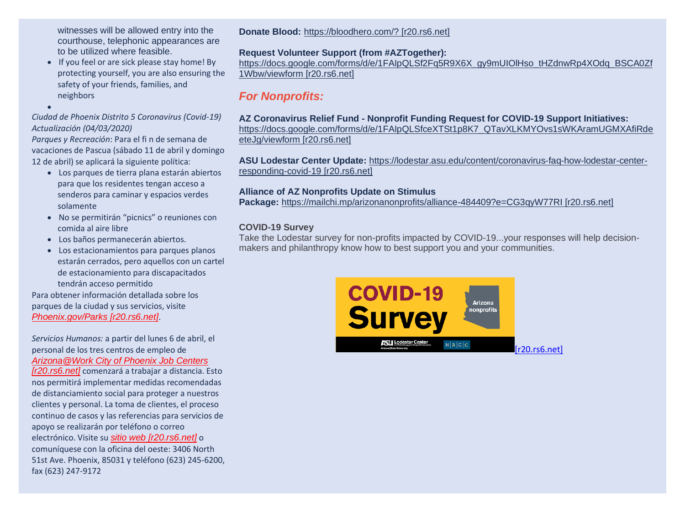witnesses will be allowed entry into the courthouse, telephonic appearances are to be utilized where feasible.

• If you feel or are sick please stay home! By protecting yourself, you are also ensuring the safety of your friends, families, and neighbors

•

### *Ciudad de Phoenix Distrito 5 Coronavirus (Covid-19) Actualización (04/03/2020)*

*Parques y Recreación*: Para el fi n de semana de vacaciones de Pascua (sábado 11 de abril y domingo 12 de abril) se aplicará la siguiente política:

- Los parques de tierra plana estarán abiertos para que los residentes tengan acceso a senderos para caminar y espacios verdes solamente
- No se permitirán "picnics" o reuniones con comida al aire libre
- Los baños permanecerán abiertos.
- Los estacionamientos para parques planos estarán cerrados, pero aquellos con un cartel de estacionamiento para discapacitados tendrán acceso permitido

Para obtener información detallada sobre los parques de la ciudad y sus servicios, visite *[Phoenix.gov/Parks \[r20.rs6.net\]](https://urldefense.com/v3/__http:/r20.rs6.net/tn.jsp?f=001c184bZjLv8sXdDF5ckNqPGaqLLVM4jLfUk47Zv4swugGhanB5_6SEKS4pEF6c9dPoeUCUxCLP_v4PCxdrYgXrCDFo9x1vR4ZZc_sJd71GWy5PquEtraeMtl6CsyZBxpBxNew1xv9nzUwEQovuDCz6W1r5NUd4KiT6ffnFTyEDiwmJYM9KxZB7RoVfLBLcRtVZfll8EBYPVc_om1_osjxrt6S8385j5_GkB3GQz9wBnmU5ReiEj319IId4A9FLw1gDLdxfdV8yS9Zvjs1R0Ib4jAOkF8BC7D9UCAh0LBHIEd2b7MGlzK_kxyHOI1RiPXz6BCkSQpuYmEfnQ6hdqcRSgGkqshdzdJxeelDWfHYBe9m70gbPTMpzAjZoQ9SmknW9g7lDaa5itfu3DEqKB6WUYmS_Yp_g6t_gv2Dk-jKty8iBkEs-N6gmkaF2jP-qd7OSOLz-xb7EdImO0SKvi435aV0YVdhq8zzMK6qV4ctgL30XG0qzgkbsfhxMQZvdVGCV8_0Wvsqxrhg77Lp3m2fSetfRq4rXBZD&c=VjyxH310zv2Mfe0U-33kNLIFOO8FGga3NKLFWcVMxhsGkBosXKaECw==&ch=U0yhzDUPR0yNKAF0oIQOYNnMFlVUSvhRWRpuINw1DbZ9U8p05q5Aug==__;!!LkjWUF49MRd51_ry!PYFkHBftJHta9Vv9RDvvPjX2mBnHVUOrYlrgvdUeW-6H7mhl4HxuoNUw3g3TAZ8o-orBGtQ$)*.

*Servicios Humanos:* a partir del lunes 6 de abril, el personal de los tres centros de empleo de *[Arizona@Work City of Phoenix Job Centers](https://urldefense.com/v3/__http:/r20.rs6.net/tn.jsp?f=001c184bZjLv8sXdDF5ckNqPGaqLLVM4jLfUk47Zv4swugGhanB5_6SEKS4pEF6c9dPMmCGdsmfpeyZvDJISmVrXyahkdw0zGgupqUOwbOY-sMMhQejs6VhiDYljkXTOAhQc9Hl09nNCKt1GUkiNtF3j_gqrXgq4g-9-s4-hfGS0zFq52BbQpvaUceswwtrlU7NvguMU1QCViQzZvlLAXadHHvrLixVu0aJWF0jwLeAMWjWwcQ8xkSifBXKCiZzz5MJ9PK_ad4DPbmmrySs-k7IHzEzb46F4huGWCZW4OtJH2diQqglS_2tGx1UOoszMMAI-CEviaNZkAGfV3Twnuy4Tvu6-g_jk3UAlro-pKhZzoSEPNksLFJ2enKnD8UWt8wIm3nCQX3x9qRk99NcwyXjqlKZyHWHN9KAEFzJnLBTkO-ewJkqbpnKIKzzKGX10qzm-zZV-8xp4pWMLghOKn5ft8dH_v0CBpsjPNIDeWJcQfXXDkOChOIEgCW6L0Eu3yrdUstH5VJxm4J1L0_RN1ewqNzmN4UKb5pN&c=VjyxH310zv2Mfe0U-33kNLIFOO8FGga3NKLFWcVMxhsGkBosXKaECw==&ch=U0yhzDUPR0yNKAF0oIQOYNnMFlVUSvhRWRpuINw1DbZ9U8p05q5Aug==__;!!LkjWUF49MRd51_ry!PYFkHBftJHta9Vv9RDvvPjX2mBnHVUOrYlrgvdUeW-6H7mhl4HxuoNUw3g3TAZ8oZ7r5qdM$)  [\[r20.rs6.net\]](https://urldefense.com/v3/__http:/r20.rs6.net/tn.jsp?f=001c184bZjLv8sXdDF5ckNqPGaqLLVM4jLfUk47Zv4swugGhanB5_6SEKS4pEF6c9dPMmCGdsmfpeyZvDJISmVrXyahkdw0zGgupqUOwbOY-sMMhQejs6VhiDYljkXTOAhQc9Hl09nNCKt1GUkiNtF3j_gqrXgq4g-9-s4-hfGS0zFq52BbQpvaUceswwtrlU7NvguMU1QCViQzZvlLAXadHHvrLixVu0aJWF0jwLeAMWjWwcQ8xkSifBXKCiZzz5MJ9PK_ad4DPbmmrySs-k7IHzEzb46F4huGWCZW4OtJH2diQqglS_2tGx1UOoszMMAI-CEviaNZkAGfV3Twnuy4Tvu6-g_jk3UAlro-pKhZzoSEPNksLFJ2enKnD8UWt8wIm3nCQX3x9qRk99NcwyXjqlKZyHWHN9KAEFzJnLBTkO-ewJkqbpnKIKzzKGX10qzm-zZV-8xp4pWMLghOKn5ft8dH_v0CBpsjPNIDeWJcQfXXDkOChOIEgCW6L0Eu3yrdUstH5VJxm4J1L0_RN1ewqNzmN4UKb5pN&c=VjyxH310zv2Mfe0U-33kNLIFOO8FGga3NKLFWcVMxhsGkBosXKaECw==&ch=U0yhzDUPR0yNKAF0oIQOYNnMFlVUSvhRWRpuINw1DbZ9U8p05q5Aug==__;!!LkjWUF49MRd51_ry!PYFkHBftJHta9Vv9RDvvPjX2mBnHVUOrYlrgvdUeW-6H7mhl4HxuoNUw3g3TAZ8oZ7r5qdM$)* comenzará a trabajar a distancia. Esto nos permitirá implementar medidas recomendadas de distanciamiento social para proteger a nuestros clientes y personal. La toma de clientes, el proceso continuo de casos y las referencias para servicios de apoyo se realizarán por teléfono o correo electrónico. Visite su *[sitio web \[r20.rs6.net\]](https://urldefense.com/v3/__http:/r20.rs6.net/tn.jsp?f=001c184bZjLv8sXdDF5ckNqPGaqLLVM4jLfUk47Zv4swugGhanB5_6SEKS4pEF6c9dP4VP_-UeSWhus6YqVWp5zJRRb_su7WTbUOlRQex5cWvf2egnbM0ANwjn3TvL_Si_AreFYwZSWQLdRmtz3NZHhwbuMamccOQMtLEIDgAdBUcLz-8fn04rKtK9s9sFuMtz_hhQc3pJHzK93Cn7veFiz3p_nfFauWjz7OCQGOyVZuJCFiiwO5l1YEb2Ad_4oJLvyUdX68Pib2iLma9Um49MwM7cb2VQIjQuHx_183GNMqCMFiubPlm_tdMFqWz5Kger6RNd9Casr4LlsRlTLT1F7gSi11GfNMzRVYZ9Dam-87nEBt-dAjjtce1lt0g7SkS_-ATSO0tmA-wOP7zzea1VJZj2vXT5ohUO-9YsZWrgX11TJBgrHmOxAlfw7SjBzVBgwy2gyQlnbQ5y_uUSKlTJV8Y4gffr43Iweg2It6qB9CzASUJho5VGPswxSEuHCNoJ4BzLj9O6njo4neInbMbyBz_ZXHCyvZfjO&c=VjyxH310zv2Mfe0U-33kNLIFOO8FGga3NKLFWcVMxhsGkBosXKaECw==&ch=U0yhzDUPR0yNKAF0oIQOYNnMFlVUSvhRWRpuINw1DbZ9U8p05q5Aug==__;!!LkjWUF49MRd51_ry!PYFkHBftJHta9Vv9RDvvPjX2mBnHVUOrYlrgvdUeW-6H7mhl4HxuoNUw3g3TAZ8onpKIV_w$)* o comuníquese con la oficina del oeste: 3406 North 51st Ave. Phoenix, 85031 y teléfono (623) 245-6200, fax (623) 247-9172

**Donate Blood:** [https://bloodhero.com/? \[r20.rs6.net\]](https://urldefense.com/v3/__http:/r20.rs6.net/tn.jsp?f=001c184bZjLv8sXdDF5ckNqPGaqLLVM4jLfUk47Zv4swugGhanB5_6SEKS4pEF6c9dP8OGTsn_jlpHT9viYzsDT_rouIC7NR85UQZh7qamlKC31fpXswFLmmQ5GGzUUQP_yMJ526VreJJBucj_-heNezg==&c=VjyxH310zv2Mfe0U-33kNLIFOO8FGga3NKLFWcVMxhsGkBosXKaECw==&ch=U0yhzDUPR0yNKAF0oIQOYNnMFlVUSvhRWRpuINw1DbZ9U8p05q5Aug==__;!!LkjWUF49MRd51_ry!PYFkHBftJHta9Vv9RDvvPjX2mBnHVUOrYlrgvdUeW-6H7mhl4HxuoNUw3g3TAZ8oY_85hsI$)

## **Request Volunteer Support (from #AZTogether):**

[https://docs.google.com/forms/d/e/1FAIpQLSf2Fq5R9X6X\\_gy9mUIOlHso\\_tHZdnwRp4XOdq\\_BSCA0Zf](https://urldefense.com/v3/__http:/r20.rs6.net/tn.jsp?f=001c184bZjLv8sXdDF5ckNqPGaqLLVM4jLfUk47Zv4swugGhanB5_6SEKS4pEF6c9dPp7ieyv5MO_G0KvE-zTLT-NvsXi1VQFX7npPCxAmUu4q6JMHDXN6zgneNkcfN2P74xuUeraICWG7Vc4klw4JBh3ID7P3wbFQVhM_BX6sFxyMFZfH7BysU0iwKgsd1-5U4NxvBhRTtJUG3Y1n2H12N_v6BGiOphrQZSF9zP6ScLYNKp4X9r1-pKa0Nat9ZX48t&c=VjyxH310zv2Mfe0U-33kNLIFOO8FGga3NKLFWcVMxhsGkBosXKaECw==&ch=U0yhzDUPR0yNKAF0oIQOYNnMFlVUSvhRWRpuINw1DbZ9U8p05q5Aug==__;!!LkjWUF49MRd51_ry!PYFkHBftJHta9Vv9RDvvPjX2mBnHVUOrYlrgvdUeW-6H7mhl4HxuoNUw3g3TAZ8o5v-sMNk$) [1Wbw/viewform \[r20.rs6.net\]](https://urldefense.com/v3/__http:/r20.rs6.net/tn.jsp?f=001c184bZjLv8sXdDF5ckNqPGaqLLVM4jLfUk47Zv4swugGhanB5_6SEKS4pEF6c9dPp7ieyv5MO_G0KvE-zTLT-NvsXi1VQFX7npPCxAmUu4q6JMHDXN6zgneNkcfN2P74xuUeraICWG7Vc4klw4JBh3ID7P3wbFQVhM_BX6sFxyMFZfH7BysU0iwKgsd1-5U4NxvBhRTtJUG3Y1n2H12N_v6BGiOphrQZSF9zP6ScLYNKp4X9r1-pKa0Nat9ZX48t&c=VjyxH310zv2Mfe0U-33kNLIFOO8FGga3NKLFWcVMxhsGkBosXKaECw==&ch=U0yhzDUPR0yNKAF0oIQOYNnMFlVUSvhRWRpuINw1DbZ9U8p05q5Aug==__;!!LkjWUF49MRd51_ry!PYFkHBftJHta9Vv9RDvvPjX2mBnHVUOrYlrgvdUeW-6H7mhl4HxuoNUw3g3TAZ8o5v-sMNk$)

# *For Nonprofits:*

#### **AZ Coronavirus Relief Fund - Nonprofit Funding Request for COVID-19 Support Initiatives:**  [https://docs.google.com/forms/d/e/1FAIpQLSfceXTSt1p8K7\\_QTavXLKMYOvs1sWKAramUGMXAfiRde](https://urldefense.com/v3/__http:/r20.rs6.net/tn.jsp?f=001c184bZjLv8sXdDF5ckNqPGaqLLVM4jLfUk47Zv4swugGhanB5_6SEKS4pEF6c9dPquUGAwkOeNtXkx55Lbn8H5GkdqmHasO7AJE7pDEoqIt2oQVWAx3jjWcczdMOwnmiVbSsr49SYtyQ5WK3jiZucAn5EXxFXiUHjER3J_ydinAbHkC7SDJR6uibP8sC6v2A3suCZ9y-9l4DzXbMLchFrMAMPK173S__ljueDOrHlVKULA7Sdqsc1BkUDUJaQWox&c=VjyxH310zv2Mfe0U-33kNLIFOO8FGga3NKLFWcVMxhsGkBosXKaECw==&ch=U0yhzDUPR0yNKAF0oIQOYNnMFlVUSvhRWRpuINw1DbZ9U8p05q5Aug==__;!!LkjWUF49MRd51_ry!PYFkHBftJHta9Vv9RDvvPjX2mBnHVUOrYlrgvdUeW-6H7mhl4HxuoNUw3g3TAZ8oC95T_zA$) [eteJg/viewform \[r20.rs6.net\]](https://urldefense.com/v3/__http:/r20.rs6.net/tn.jsp?f=001c184bZjLv8sXdDF5ckNqPGaqLLVM4jLfUk47Zv4swugGhanB5_6SEKS4pEF6c9dPquUGAwkOeNtXkx55Lbn8H5GkdqmHasO7AJE7pDEoqIt2oQVWAx3jjWcczdMOwnmiVbSsr49SYtyQ5WK3jiZucAn5EXxFXiUHjER3J_ydinAbHkC7SDJR6uibP8sC6v2A3suCZ9y-9l4DzXbMLchFrMAMPK173S__ljueDOrHlVKULA7Sdqsc1BkUDUJaQWox&c=VjyxH310zv2Mfe0U-33kNLIFOO8FGga3NKLFWcVMxhsGkBosXKaECw==&ch=U0yhzDUPR0yNKAF0oIQOYNnMFlVUSvhRWRpuINw1DbZ9U8p05q5Aug==__;!!LkjWUF49MRd51_ry!PYFkHBftJHta9Vv9RDvvPjX2mBnHVUOrYlrgvdUeW-6H7mhl4HxuoNUw3g3TAZ8oC95T_zA$)

**ASU Lodestar Center Update:** [https://lodestar.asu.edu/content/coronavirus-faq-how-lodestar-center](https://urldefense.com/v3/__http:/r20.rs6.net/tn.jsp?f=001c184bZjLv8sXdDF5ckNqPGaqLLVM4jLfUk47Zv4swugGhanB5_6SEKS4pEF6c9dPi9X8ngLIf7S9qeTaD8V9dWccV-7Be-g4_LYxDh7FAHnpQTEqlD1qrTXT0ZwfPVee-SCoLQEDeSYxf-Ygx7gtHC4D_xjiOWX9ZTaoPOXbT0rwPfBPVHfpM-2-jpxRqgU6H204Qw5cIUYJxyMIaMa7WHQUiGrFfIwsdE57q7lyX-c=&c=VjyxH310zv2Mfe0U-33kNLIFOO8FGga3NKLFWcVMxhsGkBosXKaECw==&ch=U0yhzDUPR0yNKAF0oIQOYNnMFlVUSvhRWRpuINw1DbZ9U8p05q5Aug==__;!!LkjWUF49MRd51_ry!PYFkHBftJHta9Vv9RDvvPjX2mBnHVUOrYlrgvdUeW-6H7mhl4HxuoNUw3g3TAZ8ocjp5EAo$)[responding-covid-19 \[r20.rs6.net\]](https://urldefense.com/v3/__http:/r20.rs6.net/tn.jsp?f=001c184bZjLv8sXdDF5ckNqPGaqLLVM4jLfUk47Zv4swugGhanB5_6SEKS4pEF6c9dPi9X8ngLIf7S9qeTaD8V9dWccV-7Be-g4_LYxDh7FAHnpQTEqlD1qrTXT0ZwfPVee-SCoLQEDeSYxf-Ygx7gtHC4D_xjiOWX9ZTaoPOXbT0rwPfBPVHfpM-2-jpxRqgU6H204Qw5cIUYJxyMIaMa7WHQUiGrFfIwsdE57q7lyX-c=&c=VjyxH310zv2Mfe0U-33kNLIFOO8FGga3NKLFWcVMxhsGkBosXKaECw==&ch=U0yhzDUPR0yNKAF0oIQOYNnMFlVUSvhRWRpuINw1DbZ9U8p05q5Aug==__;!!LkjWUF49MRd51_ry!PYFkHBftJHta9Vv9RDvvPjX2mBnHVUOrYlrgvdUeW-6H7mhl4HxuoNUw3g3TAZ8ocjp5EAo$)

## **Alliance of AZ Nonprofits Update on Stimulus**

**Package:** [https://mailchi.mp/arizonanonprofits/alliance-484409?e=CG3qyW77RI \[r20.rs6.net\]](https://urldefense.com/v3/__http:/r20.rs6.net/tn.jsp?f=001c184bZjLv8sXdDF5ckNqPGaqLLVM4jLfUk47Zv4swugGhanB5_6SEKS4pEF6c9dPZDKaAAKqqNAj_OGr4RbQG3r6xFmcdXwp4TFVePAZdYAqpZjVFaIW_Ipds7RolmlXctDRn50xtmljErXZ0bK2pQUQB7gnYhM7tCF5Wsu40I8R5CPrfysAL_QGIYmIi_Efm36Ae9_3BLrEtdDD_utFtg==&c=VjyxH310zv2Mfe0U-33kNLIFOO8FGga3NKLFWcVMxhsGkBosXKaECw==&ch=U0yhzDUPR0yNKAF0oIQOYNnMFlVUSvhRWRpuINw1DbZ9U8p05q5Aug==__;!!LkjWUF49MRd51_ry!PYFkHBftJHta9Vv9RDvvPjX2mBnHVUOrYlrgvdUeW-6H7mhl4HxuoNUw3g3TAZ8oxOXtJEg$)

## **COVID-19 Survey**

Take the Lodestar survey for non-profits impacted by COVID-19...your responses will help decisionmakers and philanthropy know how to best support you and your communities.

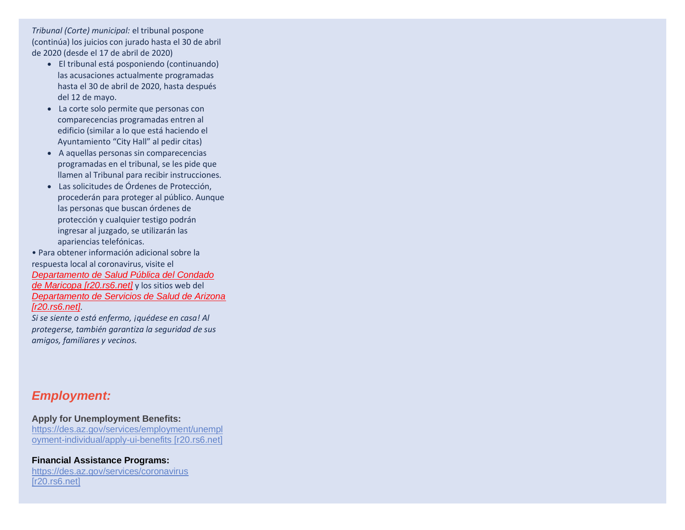*Tribunal (Corte) municipal:* el tribunal pospone (continúa) los juicios con jurado hasta el 30 de abril de 2020 (desde el 17 de abril de 2020)

- El tribunal está posponiendo (continuando) las acusaciones actualmente programadas hasta el 30 de abril de 2020, hasta después del 12 de mayo.
- La corte solo permite que personas con comparecencias programadas entren al edificio (similar a lo que está haciendo el Ayuntamiento "City Hall" al pedir citas)
- A aquellas personas sin comparecencias programadas en el tribunal, se les pide que llamen al Tribunal para recibir instrucciones.
- Las solicitudes de Órdenes de Protección, procederán para proteger al público. Aunque las personas que buscan órdenes de protección y cualquier testigo podrán ingresar al juzgado, se utilizarán las apariencias telefónicas.
- Para obtener información adicional sobre la respuesta local al coronavirus, visite el *[Departamento de Salud Pública del Condado](https://urldefense.com/v3/__http:/r20.rs6.net/tn.jsp?f=001c184bZjLv8sXdDF5ckNqPGaqLLVM4jLfUk47Zv4swugGhanB5_6SEKS4pEF6c9dPbJZQy5HsnoqdsycJv_ZNTROLGcxEEf1WjZ5PTPzOrJ1SK0LRXkV7PHMmXf2J_3jn1gZxZtMCIS__y7DPHwiFzK6PSEx9xHk4jVwYpte3W1PUaUcp8sS73SGSMU8tb_2ntBt5-Foh1K00R1JW0NWjCKRA-7COJFyU5Rm5UNR-9mPrik1DT-L8H9PmFee2oTXronOyzO9GtaFdKLZipGc_8xdezNL4ca7pJE0RAbQRXs768jG4rufcwxIUis4eoGSQjeNju7OXzpPDvcVo4Hm7NpmH1JH4PoMowSi6PXoF_trdG0zppos3MVcwRhWYOZMSEeGYofUgFfl2YKdRSOQhqLoVKosnksbc2xvZVZ8kjW6EpaZQV-vfisdhG_rVrps7pnv6sRVtnPcGSXff6d6CJTsvA97oazBMwUUMsgb2-izy_21JgLqwAxsk8IBbxHdIQwAsho4xzCMLXJKY7T7Mo54fz-JoX8mj&c=VjyxH310zv2Mfe0U-33kNLIFOO8FGga3NKLFWcVMxhsGkBosXKaECw==&ch=U0yhzDUPR0yNKAF0oIQOYNnMFlVUSvhRWRpuINw1DbZ9U8p05q5Aug==__;!!LkjWUF49MRd51_ry!PYFkHBftJHta9Vv9RDvvPjX2mBnHVUOrYlrgvdUeW-6H7mhl4HxuoNUw3g3TAZ8oKPKt4GY$)  [de Maricopa \[r20.rs6.net\]](https://urldefense.com/v3/__http:/r20.rs6.net/tn.jsp?f=001c184bZjLv8sXdDF5ckNqPGaqLLVM4jLfUk47Zv4swugGhanB5_6SEKS4pEF6c9dPbJZQy5HsnoqdsycJv_ZNTROLGcxEEf1WjZ5PTPzOrJ1SK0LRXkV7PHMmXf2J_3jn1gZxZtMCIS__y7DPHwiFzK6PSEx9xHk4jVwYpte3W1PUaUcp8sS73SGSMU8tb_2ntBt5-Foh1K00R1JW0NWjCKRA-7COJFyU5Rm5UNR-9mPrik1DT-L8H9PmFee2oTXronOyzO9GtaFdKLZipGc_8xdezNL4ca7pJE0RAbQRXs768jG4rufcwxIUis4eoGSQjeNju7OXzpPDvcVo4Hm7NpmH1JH4PoMowSi6PXoF_trdG0zppos3MVcwRhWYOZMSEeGYofUgFfl2YKdRSOQhqLoVKosnksbc2xvZVZ8kjW6EpaZQV-vfisdhG_rVrps7pnv6sRVtnPcGSXff6d6CJTsvA97oazBMwUUMsgb2-izy_21JgLqwAxsk8IBbxHdIQwAsho4xzCMLXJKY7T7Mo54fz-JoX8mj&c=VjyxH310zv2Mfe0U-33kNLIFOO8FGga3NKLFWcVMxhsGkBosXKaECw==&ch=U0yhzDUPR0yNKAF0oIQOYNnMFlVUSvhRWRpuINw1DbZ9U8p05q5Aug==__;!!LkjWUF49MRd51_ry!PYFkHBftJHta9Vv9RDvvPjX2mBnHVUOrYlrgvdUeW-6H7mhl4HxuoNUw3g3TAZ8oKPKt4GY$)* y los sitios web del *[Departamento de Servicios de Salud de Arizona](https://urldefense.com/v3/__http:/r20.rs6.net/tn.jsp?f=001c184bZjLv8sXdDF5ckNqPGaqLLVM4jLfUk47Zv4swugGhanB5_6SEKS4pEF6c9dPbYJws-HkAvMkdrd3JpMZJpmtSow1F5DDZw-ZiRZxXANWXy9FnbnivU236Dif4m_IBE4TBFvrTfFa_OnSVqFvcehibIGqL86MknXHSOnIStS4K00vwSWxHErXA--nDTgsyzFt19NqokRjU_sZxrnjt2_oEb7KFVD1allutHzAM0LqCY8U_SSw3hjzxc3TnL16H4k_Zc7kquwa52QU8uo8M6RDaFnNsKlWwUQYru8OvYjWh4iDH0_AM88HW12Nhy1sulxtqw9-RWkZfxkMOv6yCWmtOUYC0jhQAuZ-lK1qo7cf7_91nTHA9oKj0XGx-OS1efGHWDjwY5hct53cAnv_akUuvXGfwHJvhx1VceTKKC7-MAZH-k6m2_X1GrB1Tr101rtnrfjsSxeGVZfiygVBlEpXruiItCHegGuTNWqa7qN-1AJSTJLfHoHXLQnp9pqajJ32lJAfMwSF-aGANRahLdeMEVFAACxg&c=VjyxH310zv2Mfe0U-33kNLIFOO8FGga3NKLFWcVMxhsGkBosXKaECw==&ch=U0yhzDUPR0yNKAF0oIQOYNnMFlVUSvhRWRpuINw1DbZ9U8p05q5Aug==__;!!LkjWUF49MRd51_ry!PYFkHBftJHta9Vv9RDvvPjX2mBnHVUOrYlrgvdUeW-6H7mhl4HxuoNUw3g3TAZ8oQCsOPH0$)  [\[r20.rs6.net\]](https://urldefense.com/v3/__http:/r20.rs6.net/tn.jsp?f=001c184bZjLv8sXdDF5ckNqPGaqLLVM4jLfUk47Zv4swugGhanB5_6SEKS4pEF6c9dPbYJws-HkAvMkdrd3JpMZJpmtSow1F5DDZw-ZiRZxXANWXy9FnbnivU236Dif4m_IBE4TBFvrTfFa_OnSVqFvcehibIGqL86MknXHSOnIStS4K00vwSWxHErXA--nDTgsyzFt19NqokRjU_sZxrnjt2_oEb7KFVD1allutHzAM0LqCY8U_SSw3hjzxc3TnL16H4k_Zc7kquwa52QU8uo8M6RDaFnNsKlWwUQYru8OvYjWh4iDH0_AM88HW12Nhy1sulxtqw9-RWkZfxkMOv6yCWmtOUYC0jhQAuZ-lK1qo7cf7_91nTHA9oKj0XGx-OS1efGHWDjwY5hct53cAnv_akUuvXGfwHJvhx1VceTKKC7-MAZH-k6m2_X1GrB1Tr101rtnrfjsSxeGVZfiygVBlEpXruiItCHegGuTNWqa7qN-1AJSTJLfHoHXLQnp9pqajJ32lJAfMwSF-aGANRahLdeMEVFAACxg&c=VjyxH310zv2Mfe0U-33kNLIFOO8FGga3NKLFWcVMxhsGkBosXKaECw==&ch=U0yhzDUPR0yNKAF0oIQOYNnMFlVUSvhRWRpuINw1DbZ9U8p05q5Aug==__;!!LkjWUF49MRd51_ry!PYFkHBftJHta9Vv9RDvvPjX2mBnHVUOrYlrgvdUeW-6H7mhl4HxuoNUw3g3TAZ8oQCsOPH0$)*.

*Si se siente o está enfermo, ¡quédese en casa! Al protegerse, también garantiza la seguridad de sus amigos, familiares y vecinos.*

## *Employment:*

**Apply for Unemployment Benefits:** [https://des.az.gov/services/employment/unempl](https://urldefense.com/v3/__http:/r20.rs6.net/tn.jsp?f=001c184bZjLv8sXdDF5ckNqPGaqLLVM4jLfUk47Zv4swugGhanB5_6SEKS4pEF6c9dPd8DA3CdN33d1RlLCP_rGbRi9HP3TNZgexGlv00C0zRCwqUHiF3zzTnlSlkf4y029tM7wAwNw6kQ9Vtl3ho3xwk9OfGO0Y6hr_Z6r9Ihkohw8Bo-KTvvxgm3Q-MRfYR1o1faS-7uKbq194p7Q9og5lqRQL1PWBLuC&c=VjyxH310zv2Mfe0U-33kNLIFOO8FGga3NKLFWcVMxhsGkBosXKaECw==&ch=U0yhzDUPR0yNKAF0oIQOYNnMFlVUSvhRWRpuINw1DbZ9U8p05q5Aug==__;!!LkjWUF49MRd51_ry!PYFkHBftJHta9Vv9RDvvPjX2mBnHVUOrYlrgvdUeW-6H7mhl4HxuoNUw3g3TAZ8ojoM-bgo$) [oyment-individual/apply-ui-benefits \[r20.rs6.net\]](https://urldefense.com/v3/__http:/r20.rs6.net/tn.jsp?f=001c184bZjLv8sXdDF5ckNqPGaqLLVM4jLfUk47Zv4swugGhanB5_6SEKS4pEF6c9dPd8DA3CdN33d1RlLCP_rGbRi9HP3TNZgexGlv00C0zRCwqUHiF3zzTnlSlkf4y029tM7wAwNw6kQ9Vtl3ho3xwk9OfGO0Y6hr_Z6r9Ihkohw8Bo-KTvvxgm3Q-MRfYR1o1faS-7uKbq194p7Q9og5lqRQL1PWBLuC&c=VjyxH310zv2Mfe0U-33kNLIFOO8FGga3NKLFWcVMxhsGkBosXKaECw==&ch=U0yhzDUPR0yNKAF0oIQOYNnMFlVUSvhRWRpuINw1DbZ9U8p05q5Aug==__;!!LkjWUF49MRd51_ry!PYFkHBftJHta9Vv9RDvvPjX2mBnHVUOrYlrgvdUeW-6H7mhl4HxuoNUw3g3TAZ8ojoM-bgo$)

**Financial Assistance Programs:** [https://des.az.gov/services/coronavirus](https://urldefense.com/v3/__http:/r20.rs6.net/tn.jsp?f=001c184bZjLv8sXdDF5ckNqPGaqLLVM4jLfUk47Zv4swugGhanB5_6SEKS4pEF6c9dP43ueXNSp3LbXgLJkXklq9iqANO8tKKIsQTa3ujV7w3gwZgFkRpFzxhh0Rusvu4HSsr4kOSzcqEeoP_2vwYrZWybQaZxR-g7vEFCC6JPbpPY=&c=VjyxH310zv2Mfe0U-33kNLIFOO8FGga3NKLFWcVMxhsGkBosXKaECw==&ch=U0yhzDUPR0yNKAF0oIQOYNnMFlVUSvhRWRpuINw1DbZ9U8p05q5Aug==__;!!LkjWUF49MRd51_ry!PYFkHBftJHta9Vv9RDvvPjX2mBnHVUOrYlrgvdUeW-6H7mhl4HxuoNUw3g3TAZ8oVgwZXaA$)  [\[r20.rs6.net\]](https://urldefense.com/v3/__http:/r20.rs6.net/tn.jsp?f=001c184bZjLv8sXdDF5ckNqPGaqLLVM4jLfUk47Zv4swugGhanB5_6SEKS4pEF6c9dP43ueXNSp3LbXgLJkXklq9iqANO8tKKIsQTa3ujV7w3gwZgFkRpFzxhh0Rusvu4HSsr4kOSzcqEeoP_2vwYrZWybQaZxR-g7vEFCC6JPbpPY=&c=VjyxH310zv2Mfe0U-33kNLIFOO8FGga3NKLFWcVMxhsGkBosXKaECw==&ch=U0yhzDUPR0yNKAF0oIQOYNnMFlVUSvhRWRpuINw1DbZ9U8p05q5Aug==__;!!LkjWUF49MRd51_ry!PYFkHBftJHta9Vv9RDvvPjX2mBnHVUOrYlrgvdUeW-6H7mhl4HxuoNUw3g3TAZ8oVgwZXaA$)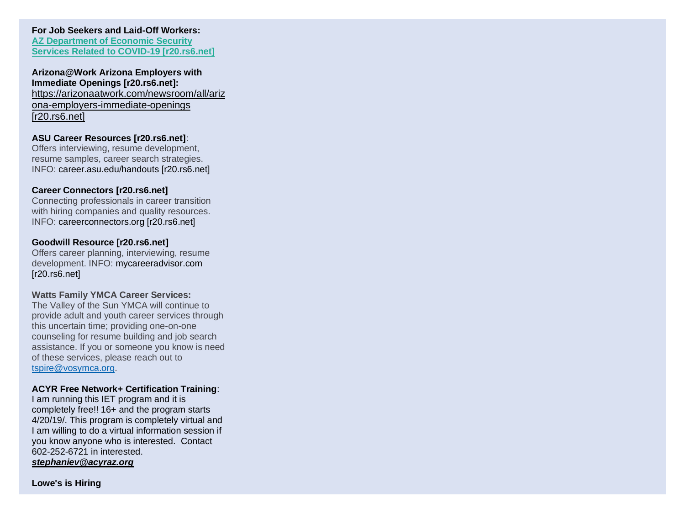## **For Job Seekers and Laid-Off Workers: [AZ Department of Economic Security](https://urldefense.com/v3/__http:/r20.rs6.net/tn.jsp?f=001c184bZjLv8sXdDF5ckNqPGaqLLVM4jLfUk47Zv4swugGhanB5_6SEKS4pEF6c9dP43ueXNSp3LbXgLJkXklq9iqANO8tKKIsQTa3ujV7w3gwZgFkRpFzxhh0Rusvu4HSsr4kOSzcqEeoP_2vwYrZWybQaZxR-g7vEFCC6JPbpPY=&c=VjyxH310zv2Mfe0U-33kNLIFOO8FGga3NKLFWcVMxhsGkBosXKaECw==&ch=U0yhzDUPR0yNKAF0oIQOYNnMFlVUSvhRWRpuINw1DbZ9U8p05q5Aug==__;!!LkjWUF49MRd51_ry!PYFkHBftJHta9Vv9RDvvPjX2mBnHVUOrYlrgvdUeW-6H7mhl4HxuoNUw3g3TAZ8oVgwZXaA$)**

**[Services Related to COVID-19 \[r20.rs6.net\]](https://urldefense.com/v3/__http:/r20.rs6.net/tn.jsp?f=001c184bZjLv8sXdDF5ckNqPGaqLLVM4jLfUk47Zv4swugGhanB5_6SEKS4pEF6c9dP43ueXNSp3LbXgLJkXklq9iqANO8tKKIsQTa3ujV7w3gwZgFkRpFzxhh0Rusvu4HSsr4kOSzcqEeoP_2vwYrZWybQaZxR-g7vEFCC6JPbpPY=&c=VjyxH310zv2Mfe0U-33kNLIFOO8FGga3NKLFWcVMxhsGkBosXKaECw==&ch=U0yhzDUPR0yNKAF0oIQOYNnMFlVUSvhRWRpuINw1DbZ9U8p05q5Aug==__;!!LkjWUF49MRd51_ry!PYFkHBftJHta9Vv9RDvvPjX2mBnHVUOrYlrgvdUeW-6H7mhl4HxuoNUw3g3TAZ8oVgwZXaA$)**

#### **[Arizona@Work Arizona Employers with](https://urldefense.com/v3/__http:/r20.rs6.net/tn.jsp?f=001c184bZjLv8sXdDF5ckNqPGaqLLVM4jLfUk47Zv4swugGhanB5_6SEKS4pEF6c9dPNAJ7EeUEW_KbzNFymRDcRCVqz6ecRDh0Qt4Jv31UcqHxLJCdD-Twfmeh_oa-TX5MamHjEEnfRZUMi_6aG4hBPP-mrj22TskitQcH9xYARJpmNVTWjB2OXv0NzvIbUiwgHG5uOdDu2ti8yXnJ0c4rJ5PgZ-JVkVO0&c=VjyxH310zv2Mfe0U-33kNLIFOO8FGga3NKLFWcVMxhsGkBosXKaECw==&ch=U0yhzDUPR0yNKAF0oIQOYNnMFlVUSvhRWRpuINw1DbZ9U8p05q5Aug==__;!!LkjWUF49MRd51_ry!PYFkHBftJHta9Vv9RDvvPjX2mBnHVUOrYlrgvdUeW-6H7mhl4HxuoNUw3g3TAZ8oa_KnERA$)  [Immediate Openings \[r20.rs6.net\]:](https://urldefense.com/v3/__http:/r20.rs6.net/tn.jsp?f=001c184bZjLv8sXdDF5ckNqPGaqLLVM4jLfUk47Zv4swugGhanB5_6SEKS4pEF6c9dPNAJ7EeUEW_KbzNFymRDcRCVqz6ecRDh0Qt4Jv31UcqHxLJCdD-Twfmeh_oa-TX5MamHjEEnfRZUMi_6aG4hBPP-mrj22TskitQcH9xYARJpmNVTWjB2OXv0NzvIbUiwgHG5uOdDu2ti8yXnJ0c4rJ5PgZ-JVkVO0&c=VjyxH310zv2Mfe0U-33kNLIFOO8FGga3NKLFWcVMxhsGkBosXKaECw==&ch=U0yhzDUPR0yNKAF0oIQOYNnMFlVUSvhRWRpuINw1DbZ9U8p05q5Aug==__;!!LkjWUF49MRd51_ry!PYFkHBftJHta9Vv9RDvvPjX2mBnHVUOrYlrgvdUeW-6H7mhl4HxuoNUw3g3TAZ8oa_KnERA$)**  [https://arizonaatwork.com/newsroom/all/ariz](https://urldefense.com/v3/__http:/r20.rs6.net/tn.jsp?f=001c184bZjLv8sXdDF5ckNqPGaqLLVM4jLfUk47Zv4swugGhanB5_6SEKS4pEF6c9dPNAJ7EeUEW_KbzNFymRDcRCVqz6ecRDh0Qt4Jv31UcqHxLJCdD-Twfmeh_oa-TX5MamHjEEnfRZUMi_6aG4hBPP-mrj22TskitQcH9xYARJpmNVTWjB2OXv0NzvIbUiwgHG5uOdDu2ti8yXnJ0c4rJ5PgZ-JVkVO0&c=VjyxH310zv2Mfe0U-33kNLIFOO8FGga3NKLFWcVMxhsGkBosXKaECw==&ch=U0yhzDUPR0yNKAF0oIQOYNnMFlVUSvhRWRpuINw1DbZ9U8p05q5Aug==__;!!LkjWUF49MRd51_ry!PYFkHBftJHta9Vv9RDvvPjX2mBnHVUOrYlrgvdUeW-6H7mhl4HxuoNUw3g3TAZ8oa_KnERA$)

[ona-employers-immediate-openings](https://urldefense.com/v3/__http:/r20.rs6.net/tn.jsp?f=001c184bZjLv8sXdDF5ckNqPGaqLLVM4jLfUk47Zv4swugGhanB5_6SEKS4pEF6c9dPNAJ7EeUEW_KbzNFymRDcRCVqz6ecRDh0Qt4Jv31UcqHxLJCdD-Twfmeh_oa-TX5MamHjEEnfRZUMi_6aG4hBPP-mrj22TskitQcH9xYARJpmNVTWjB2OXv0NzvIbUiwgHG5uOdDu2ti8yXnJ0c4rJ5PgZ-JVkVO0&c=VjyxH310zv2Mfe0U-33kNLIFOO8FGga3NKLFWcVMxhsGkBosXKaECw==&ch=U0yhzDUPR0yNKAF0oIQOYNnMFlVUSvhRWRpuINw1DbZ9U8p05q5Aug==__;!!LkjWUF49MRd51_ry!PYFkHBftJHta9Vv9RDvvPjX2mBnHVUOrYlrgvdUeW-6H7mhl4HxuoNUw3g3TAZ8oa_KnERA$)  [\[r20.rs6.net\]](https://urldefense.com/v3/__http:/r20.rs6.net/tn.jsp?f=001c184bZjLv8sXdDF5ckNqPGaqLLVM4jLfUk47Zv4swugGhanB5_6SEKS4pEF6c9dPNAJ7EeUEW_KbzNFymRDcRCVqz6ecRDh0Qt4Jv31UcqHxLJCdD-Twfmeh_oa-TX5MamHjEEnfRZUMi_6aG4hBPP-mrj22TskitQcH9xYARJpmNVTWjB2OXv0NzvIbUiwgHG5uOdDu2ti8yXnJ0c4rJ5PgZ-JVkVO0&c=VjyxH310zv2Mfe0U-33kNLIFOO8FGga3NKLFWcVMxhsGkBosXKaECw==&ch=U0yhzDUPR0yNKAF0oIQOYNnMFlVUSvhRWRpuINw1DbZ9U8p05q5Aug==__;!!LkjWUF49MRd51_ry!PYFkHBftJHta9Vv9RDvvPjX2mBnHVUOrYlrgvdUeW-6H7mhl4HxuoNUw3g3TAZ8oa_KnERA$)

### **[ASU Career Resources \[r20.rs6.net\]](https://urldefense.com/v3/__http:/r20.rs6.net/tn.jsp?f=001c184bZjLv8sXdDF5ckNqPGaqLLVM4jLfUk47Zv4swugGhanB5_6SEKS4pEF6c9dP8TQEztAYitpJBsN_nuIxP20CuvlicEyZm0Wd70udr93C_QHEGFJy8jAJshld_peiqSrnwbPc-Ty6zZD7_vo17Cxy6zFsXj9J&c=VjyxH310zv2Mfe0U-33kNLIFOO8FGga3NKLFWcVMxhsGkBosXKaECw==&ch=U0yhzDUPR0yNKAF0oIQOYNnMFlVUSvhRWRpuINw1DbZ9U8p05q5Aug==__;!!LkjWUF49MRd51_ry!PYFkHBftJHta9Vv9RDvvPjX2mBnHVUOrYlrgvdUeW-6H7mhl4HxuoNUw3g3TAZ8oUwissxs$)**:

Offers interviewing, resume development, resume samples, career search strategies. INFO: [career.asu.edu/handouts \[r20.rs6.net\]](https://urldefense.com/v3/__http:/r20.rs6.net/tn.jsp?f=001c184bZjLv8sXdDF5ckNqPGaqLLVM4jLfUk47Zv4swugGhanB5_6SEKS4pEF6c9dP8TQEztAYitpJBsN_nuIxP20CuvlicEyZm0Wd70udr93C_QHEGFJy8jAJshld_peiqSrnwbPc-Ty6zZD7_vo17Cxy6zFsXj9J&c=VjyxH310zv2Mfe0U-33kNLIFOO8FGga3NKLFWcVMxhsGkBosXKaECw==&ch=U0yhzDUPR0yNKAF0oIQOYNnMFlVUSvhRWRpuINw1DbZ9U8p05q5Aug==__;!!LkjWUF49MRd51_ry!PYFkHBftJHta9Vv9RDvvPjX2mBnHVUOrYlrgvdUeW-6H7mhl4HxuoNUw3g3TAZ8oUwissxs$)

#### **[Career Connectors \[r20.rs6.net\]](https://urldefense.com/v3/__http:/r20.rs6.net/tn.jsp?f=001c184bZjLv8sXdDF5ckNqPGaqLLVM4jLfUk47Zv4swugGhanB5_6SEKS4pEF6c9dPG5PtF5mgbE00tnevCKY6EOw0e7ZdVaZfW009yg7yNC5qy8PWP-NS3STM0J8aqbDl15c56SELV-U0lzbSWovBsw==&c=VjyxH310zv2Mfe0U-33kNLIFOO8FGga3NKLFWcVMxhsGkBosXKaECw==&ch=U0yhzDUPR0yNKAF0oIQOYNnMFlVUSvhRWRpuINw1DbZ9U8p05q5Aug==__;!!LkjWUF49MRd51_ry!PYFkHBftJHta9Vv9RDvvPjX2mBnHVUOrYlrgvdUeW-6H7mhl4HxuoNUw3g3TAZ8onuK_JCE$)**

Connecting professionals in career transition with hiring companies and quality resources. INFO: [careerconnectors.org \[r20.rs6.net\]](https://urldefense.com/v3/__http:/r20.rs6.net/tn.jsp?f=001c184bZjLv8sXdDF5ckNqPGaqLLVM4jLfUk47Zv4swugGhanB5_6SEKS4pEF6c9dPG5PtF5mgbE00tnevCKY6EOw0e7ZdVaZfW009yg7yNC5qy8PWP-NS3STM0J8aqbDl15c56SELV-U0lzbSWovBsw==&c=VjyxH310zv2Mfe0U-33kNLIFOO8FGga3NKLFWcVMxhsGkBosXKaECw==&ch=U0yhzDUPR0yNKAF0oIQOYNnMFlVUSvhRWRpuINw1DbZ9U8p05q5Aug==__;!!LkjWUF49MRd51_ry!PYFkHBftJHta9Vv9RDvvPjX2mBnHVUOrYlrgvdUeW-6H7mhl4HxuoNUw3g3TAZ8onuK_JCE$)

#### **[Goodwill Resource \[r20.rs6.net\]](https://urldefense.com/v3/__http:/r20.rs6.net/tn.jsp?f=001c184bZjLv8sXdDF5ckNqPGaqLLVM4jLfUk47Zv4swugGhanB5_6SEKS4pEF6c9dPkO6Qa_dqu2zMpyLzFesAMh60DMmWNQw0eHzfABnyIo6Jhb4h57HAEXp6UBaRpRlslug0s4CiK_EcUcpHXYZJptVvxEni9hEI&c=VjyxH310zv2Mfe0U-33kNLIFOO8FGga3NKLFWcVMxhsGkBosXKaECw==&ch=U0yhzDUPR0yNKAF0oIQOYNnMFlVUSvhRWRpuINw1DbZ9U8p05q5Aug==__;!!LkjWUF49MRd51_ry!PYFkHBftJHta9Vv9RDvvPjX2mBnHVUOrYlrgvdUeW-6H7mhl4HxuoNUw3g3TAZ8o5bGZw8A$)**

Offers career planning, interviewing, resume development. INFO: [mycareeradvisor.com](https://urldefense.com/v3/__http:/r20.rs6.net/tn.jsp?f=001c184bZjLv8sXdDF5ckNqPGaqLLVM4jLfUk47Zv4swugGhanB5_6SEKS4pEF6c9dPkO6Qa_dqu2zMpyLzFesAMh60DMmWNQw0eHzfABnyIo6Jhb4h57HAEXp6UBaRpRlslug0s4CiK_EcUcpHXYZJptVvxEni9hEI&c=VjyxH310zv2Mfe0U-33kNLIFOO8FGga3NKLFWcVMxhsGkBosXKaECw==&ch=U0yhzDUPR0yNKAF0oIQOYNnMFlVUSvhRWRpuINw1DbZ9U8p05q5Aug==__;!!LkjWUF49MRd51_ry!PYFkHBftJHta9Vv9RDvvPjX2mBnHVUOrYlrgvdUeW-6H7mhl4HxuoNUw3g3TAZ8o5bGZw8A$)  [\[r20.rs6.net\]](https://urldefense.com/v3/__http:/r20.rs6.net/tn.jsp?f=001c184bZjLv8sXdDF5ckNqPGaqLLVM4jLfUk47Zv4swugGhanB5_6SEKS4pEF6c9dPkO6Qa_dqu2zMpyLzFesAMh60DMmWNQw0eHzfABnyIo6Jhb4h57HAEXp6UBaRpRlslug0s4CiK_EcUcpHXYZJptVvxEni9hEI&c=VjyxH310zv2Mfe0U-33kNLIFOO8FGga3NKLFWcVMxhsGkBosXKaECw==&ch=U0yhzDUPR0yNKAF0oIQOYNnMFlVUSvhRWRpuINw1DbZ9U8p05q5Aug==__;!!LkjWUF49MRd51_ry!PYFkHBftJHta9Vv9RDvvPjX2mBnHVUOrYlrgvdUeW-6H7mhl4HxuoNUw3g3TAZ8o5bGZw8A$)

#### **Watts Family YMCA Career Services:**

The Valley of the Sun YMCA will continue to provide adult and youth career services through this uncertain time; providing one-on-one counseling for resume building and job search assistance. If you or someone you know is need of these services, please reach out to [tspire@vosymca.org.](mailto:tspire@vosymca.org)

#### **ACYR Free Network+ Certification Training**:

I am running this IET program and it is completely free!! 16+ and the program starts 4/20/19/. This program is completely virtual and I am willing to do a virtual information session if you know anyone who is interested. Contact 602-252-6721 in interested. *[stephaniev@acyraz.org](mailto:stephaniev@acyraz.org)*

**Lowe's is Hiring**